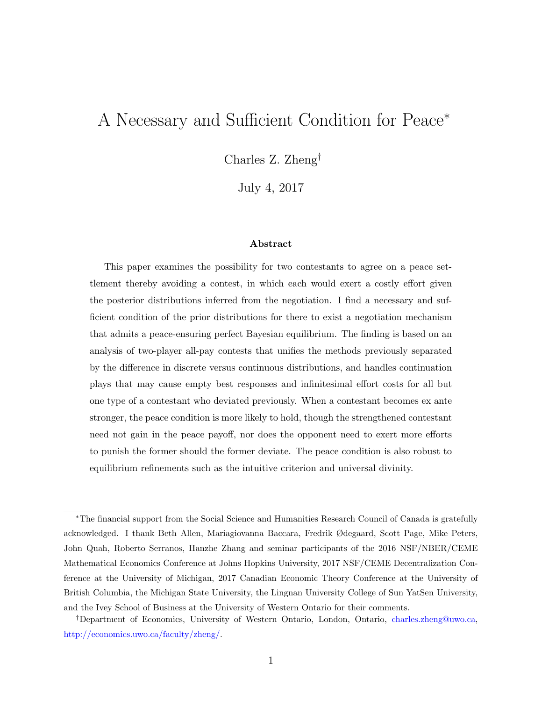# A Necessary and Sufficient Condition for Peace<sup>∗</sup>

Charles Z. Zheng†

July 4, 2017

#### Abstract

This paper examines the possibility for two contestants to agree on a peace settlement thereby avoiding a contest, in which each would exert a costly effort given the posterior distributions inferred from the negotiation. I find a necessary and sufficient condition of the prior distributions for there to exist a negotiation mechanism that admits a peace-ensuring perfect Bayesian equilibrium. The finding is based on an analysis of two-player all-pay contests that unifies the methods previously separated by the difference in discrete versus continuous distributions, and handles continuation plays that may cause empty best responses and infinitesimal effort costs for all but one type of a contestant who deviated previously. When a contestant becomes ex ante stronger, the peace condition is more likely to hold, though the strengthened contestant need not gain in the peace payoff, nor does the opponent need to exert more efforts to punish the former should the former deviate. The peace condition is also robust to equilibrium refinements such as the intuitive criterion and universal divinity.

<sup>∗</sup>The financial support from the Social Science and Humanities Research Council of Canada is gratefully acknowledged. I thank Beth Allen, Mariagiovanna Baccara, Fredrik Ødegaard, Scott Page, Mike Peters, John Quah, Roberto Serranos, Hanzhe Zhang and seminar participants of the 2016 NSF/NBER/CEME Mathematical Economics Conference at Johns Hopkins University, 2017 NSF/CEME Decentralization Conference at the University of Michigan, 2017 Canadian Economic Theory Conference at the University of British Columbia, the Michigan State University, the Lingnan University College of Sun YatSen University, and the Ivey School of Business at the University of Western Ontario for their comments.

<sup>†</sup>Department of Economics, University of Western Ontario, London, Ontario, [charles.zheng@uwo.ca,](mailto:charles.zheng@uwo.ca) [http://economics.uwo.ca/faculty/zheng/.](http://economics.uwo.ca/faculty/zheng/)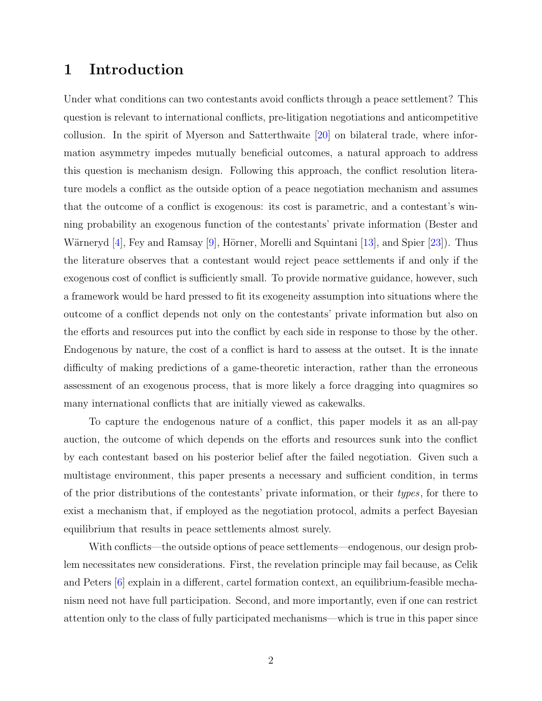## <span id="page-1-0"></span>1 Introduction

Under what conditions can two contestants avoid conflicts through a peace settlement? This question is relevant to international conflicts, pre-litigation negotiations and anticompetitive collusion. In the spirit of Myerson and Satterthwaite [\[20\]](#page-43-0) on bilateral trade, where information asymmetry impedes mutually beneficial outcomes, a natural approach to address this question is mechanism design. Following this approach, the conflict resolution literature models a conflict as the outside option of a peace negotiation mechanism and assumes that the outcome of a conflict is exogenous: its cost is parametric, and a contestant's winning probability an exogenous function of the contestants' private information (Bester and Wärneryd  $[4]$ , Fey and Ramsay  $[9]$ , Hörner, Morelli and Squintani  $[13]$ , and Spier  $[23]$ ). Thus the literature observes that a contestant would reject peace settlements if and only if the exogenous cost of conflict is sufficiently small. To provide normative guidance, however, such a framework would be hard pressed to fit its exogeneity assumption into situations where the outcome of a conflict depends not only on the contestants' private information but also on the efforts and resources put into the conflict by each side in response to those by the other. Endogenous by nature, the cost of a conflict is hard to assess at the outset. It is the innate difficulty of making predictions of a game-theoretic interaction, rather than the erroneous assessment of an exogenous process, that is more likely a force dragging into quagmires so many international conflicts that are initially viewed as cakewalks.

To capture the endogenous nature of a conflict, this paper models it as an all-pay auction, the outcome of which depends on the efforts and resources sunk into the conflict by each contestant based on his posterior belief after the failed negotiation. Given such a multistage environment, this paper presents a necessary and sufficient condition, in terms of the prior distributions of the contestants' private information, or their types, for there to exist a mechanism that, if employed as the negotiation protocol, admits a perfect Bayesian equilibrium that results in peace settlements almost surely.

With conflicts—the outside options of peace settlements—endogenous, our design problem necessitates new considerations. First, the revelation principle may fail because, as Celik and Peters [\[6\]](#page-42-2) explain in a different, cartel formation context, an equilibrium-feasible mechanism need not have full participation. Second, and more importantly, even if one can restrict attention only to the class of fully participated mechanisms—which is true in this paper since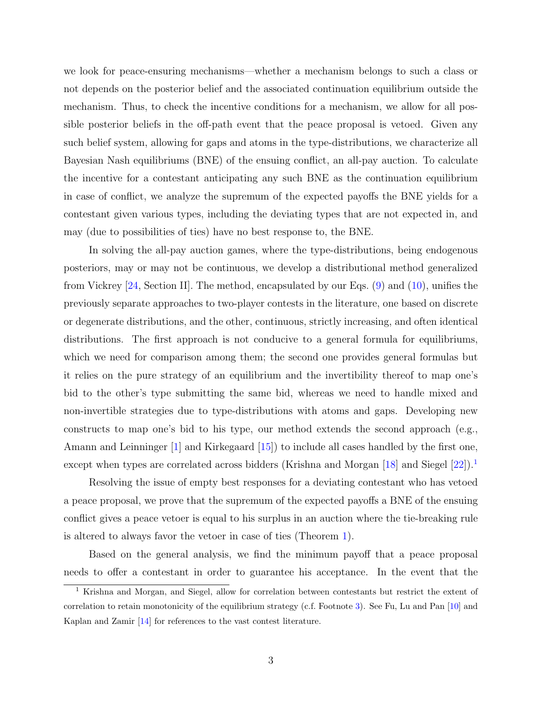we look for peace-ensuring mechanisms—whether a mechanism belongs to such a class or not depends on the posterior belief and the associated continuation equilibrium outside the mechanism. Thus, to check the incentive conditions for a mechanism, we allow for all possible posterior beliefs in the off-path event that the peace proposal is vetoed. Given any such belief system, allowing for gaps and atoms in the type-distributions, we characterize all Bayesian Nash equilibriums (BNE) of the ensuing conflict, an all-pay auction. To calculate the incentive for a contestant anticipating any such BNE as the continuation equilibrium in case of conflict, we analyze the supremum of the expected payoffs the BNE yields for a contestant given various types, including the deviating types that are not expected in, and may (due to possibilities of ties) have no best response to, the BNE.

In solving the all-pay auction games, where the type-distributions, being endogenous posteriors, may or may not be continuous, we develop a distributional method generalized from Vickrey [\[24,](#page-44-0) Section II]. The method, encapsulated by our Eqs. [\(9\)](#page-10-0) and [\(10\)](#page-11-0), unifies the previously separate approaches to two-player contests in the literature, one based on discrete or degenerate distributions, and the other, continuous, strictly increasing, and often identical distributions. The first approach is not conducive to a general formula for equilibriums, which we need for comparison among them; the second one provides general formulas but it relies on the pure strategy of an equilibrium and the invertibility thereof to map one's bid to the other's type submitting the same bid, whereas we need to handle mixed and non-invertible strategies due to type-distributions with atoms and gaps. Developing new constructs to map one's bid to his type, our method extends the second approach (e.g., Amann and Leinninger [\[1\]](#page-42-3) and Kirkegaard [\[15\]](#page-43-3)) to include all cases handled by the first one, except when types are correlated across bidders (Krishna and Morgan [\[18\]](#page-43-4) and Siegel [\[22\]](#page-43-5)).<sup>[1](#page-2-0)</sup>

Resolving the issue of empty best responses for a deviating contestant who has vetoed a peace proposal, we prove that the supremum of the expected payoffs a BNE of the ensuing conflict gives a peace vetoer is equal to his surplus in an auction where the tie-breaking rule is altered to always favor the vetoer in case of ties (Theorem [1\)](#page-9-0).

Based on the general analysis, we find the minimum payoff that a peace proposal needs to offer a contestant in order to guarantee his acceptance. In the event that the

<span id="page-2-0"></span><sup>1</sup> Krishna and Morgan, and Siegel, allow for correlation between contestants but restrict the extent of correlation to retain monotonicity of the equilibrium strategy (c.f. Footnote [3\)](#page-5-0). See Fu, Lu and Pan [\[10\]](#page-42-4) and Kaplan and Zamir [\[14\]](#page-43-6) for references to the vast contest literature.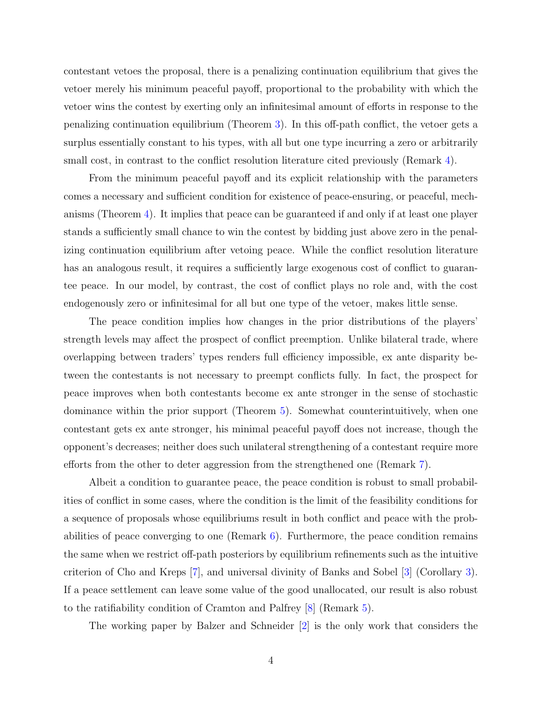contestant vetoes the proposal, there is a penalizing continuation equilibrium that gives the vetoer merely his minimum peaceful payoff, proportional to the probability with which the vetoer wins the contest by exerting only an infinitesimal amount of efforts in response to the penalizing continuation equilibrium (Theorem [3\)](#page-12-0). In this off-path conflict, the vetoer gets a surplus essentially constant to his types, with all but one type incurring a zero or arbitrarily small cost, in contrast to the conflict resolution literature cited previously (Remark [4\)](#page-13-0).

From the minimum peaceful payoff and its explicit relationship with the parameters comes a necessary and sufficient condition for existence of peace-ensuring, or peaceful, mechanisms (Theorem [4\)](#page-14-0). It implies that peace can be guaranteed if and only if at least one player stands a sufficiently small chance to win the contest by bidding just above zero in the penalizing continuation equilibrium after vetoing peace. While the conflict resolution literature has an analogous result, it requires a sufficiently large exogenous cost of conflict to guarantee peace. In our model, by contrast, the cost of conflict plays no role and, with the cost endogenously zero or infinitesimal for all but one type of the vetoer, makes little sense.

The peace condition implies how changes in the prior distributions of the players' strength levels may affect the prospect of conflict preemption. Unlike bilateral trade, where overlapping between traders' types renders full efficiency impossible, ex ante disparity between the contestants is not necessary to preempt conflicts fully. In fact, the prospect for peace improves when both contestants become ex ante stronger in the sense of stochastic dominance within the prior support (Theorem [5\)](#page-17-0). Somewhat counterintuitively, when one contestant gets ex ante stronger, his minimal peaceful payoff does not increase, though the opponent's decreases; neither does such unilateral strengthening of a contestant require more efforts from the other to deter aggression from the strengthened one (Remark [7\)](#page-18-0).

Albeit a condition to guarantee peace, the peace condition is robust to small probabilities of conflict in some cases, where the condition is the limit of the feasibility conditions for a sequence of proposals whose equilibriums result in both conflict and peace with the probabilities of peace converging to one (Remark  $6$ ). Furthermore, the peace condition remains the same when we restrict off-path posteriors by equilibrium refinements such as the intuitive criterion of Cho and Kreps [\[7\]](#page-42-5), and universal divinity of Banks and Sobel [\[3\]](#page-42-6) (Corollary [3\)](#page-14-1). If a peace settlement can leave some value of the good unallocated, our result is also robust to the ratifiability condition of Cramton and Palfrey [\[8\]](#page-42-7) (Remark [5\)](#page-14-2).

The working paper by Balzer and Schneider [\[2\]](#page-42-8) is the only work that considers the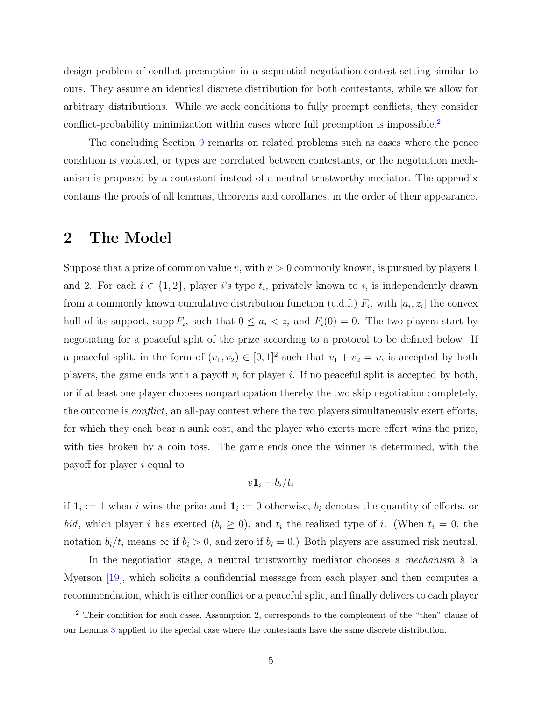design problem of conflict preemption in a sequential negotiation-contest setting similar to ours. They assume an identical discrete distribution for both contestants, while we allow for arbitrary distributions. While we seek conditions to fully preempt conflicts, they consider conflict-probability minimization within cases where full preemption is impossible.<sup>[2](#page-4-0)</sup>

The concluding Section [9](#page-19-0) remarks on related problems such as cases where the peace condition is violated, or types are correlated between contestants, or the negotiation mechanism is proposed by a contestant instead of a neutral trustworthy mediator. The appendix contains the proofs of all lemmas, theorems and corollaries, in the order of their appearance.

## <span id="page-4-1"></span>2 The Model

Suppose that a prize of common value v, with  $v > 0$  commonly known, is pursued by players 1 and 2. For each  $i \in \{1,2\}$ , player i's type  $t_i$ , privately known to i, is independently drawn from a commonly known cumulative distribution function (c.d.f.)  $F_i$ , with  $[a_i, z_i]$  the convex hull of its support, supp  $F_i$ , such that  $0 \leq a_i \leq z_i$  and  $F_i(0) = 0$ . The two players start by negotiating for a peaceful split of the prize according to a protocol to be defined below. If a peaceful split, in the form of  $(v_1, v_2) \in [0, 1]^2$  such that  $v_1 + v_2 = v$ , is accepted by both players, the game ends with a payoff  $v_i$  for player i. If no peaceful split is accepted by both, or if at least one player chooses nonparticpation thereby the two skip negotiation completely, the outcome is *conflict*, an all-pay contest where the two players simultaneously exert efforts, for which they each bear a sunk cost, and the player who exerts more effort wins the prize, with ties broken by a coin toss. The game ends once the winner is determined, with the payoff for player i equal to

$$
v\mathbf{1}_i-b_i/t_i
$$

if  $\mathbf{1}_i := 1$  when i wins the prize and  $\mathbf{1}_i := 0$  otherwise,  $b_i$  denotes the quantity of efforts, or bid, which player i has exerted  $(b_i \geq 0)$ , and  $t_i$  the realized type of i. (When  $t_i = 0$ , the notation  $b_i/t_i$  means  $\infty$  if  $b_i > 0$ , and zero if  $b_i = 0$ .) Both players are assumed risk neutral.

In the negotiation stage, a neutral trustworthy mediator chooses a *mechanism*  $\hat{a}$  la Myerson [\[19\]](#page-43-7), which solicits a confidential message from each player and then computes a recommendation, which is either conflict or a peaceful split, and finally delivers to each player

<span id="page-4-0"></span><sup>&</sup>lt;sup>2</sup> Their condition for such cases, Assumption 2, corresponds to the complement of the "then" clause of our Lemma [3](#page-8-0) applied to the special case where the contestants have the same discrete distribution.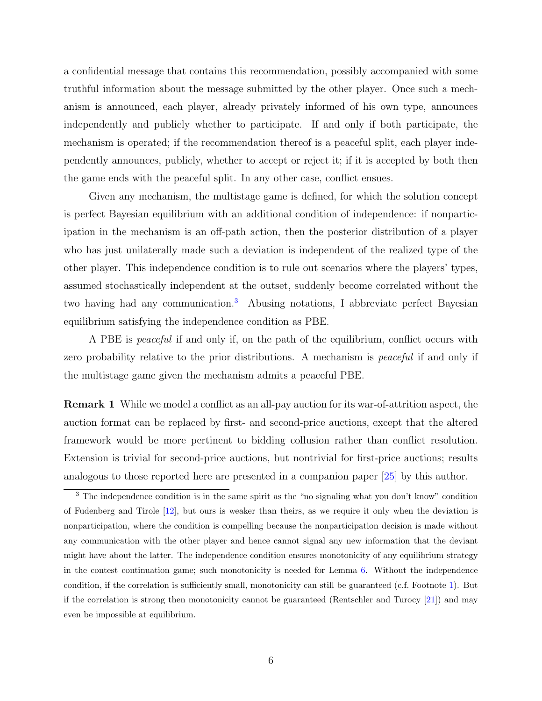a confidential message that contains this recommendation, possibly accompanied with some truthful information about the message submitted by the other player. Once such a mechanism is announced, each player, already privately informed of his own type, announces independently and publicly whether to participate. If and only if both participate, the mechanism is operated; if the recommendation thereof is a peaceful split, each player independently announces, publicly, whether to accept or reject it; if it is accepted by both then the game ends with the peaceful split. In any other case, conflict ensues.

Given any mechanism, the multistage game is defined, for which the solution concept is perfect Bayesian equilibrium with an additional condition of independence: if nonparticipation in the mechanism is an off-path action, then the posterior distribution of a player who has just unilaterally made such a deviation is independent of the realized type of the other player. This independence condition is to rule out scenarios where the players' types, assumed stochastically independent at the outset, suddenly become correlated without the two having had any communication.[3](#page-5-0) Abusing notations, I abbreviate perfect Bayesian equilibrium satisfying the independence condition as PBE.

A PBE is *peaceful* if and only if, on the path of the equilibrium, conflict occurs with zero probability relative to the prior distributions. A mechanism is *peaceful* if and only if the multistage game given the mechanism admits a peaceful PBE.

<span id="page-5-1"></span>Remark 1 While we model a conflict as an all-pay auction for its war-of-attrition aspect, the auction format can be replaced by first- and second-price auctions, except that the altered framework would be more pertinent to bidding collusion rather than conflict resolution. Extension is trivial for second-price auctions, but nontrivial for first-price auctions; results analogous to those reported here are presented in a companion paper [\[25\]](#page-44-1) by this author.

<span id="page-5-0"></span><sup>&</sup>lt;sup>3</sup> The independence condition is in the same spirit as the "no signaling what you don't know" condition of Fudenberg and Tirole [\[12\]](#page-42-9), but ours is weaker than theirs, as we require it only when the deviation is nonparticipation, where the condition is compelling because the nonparticipation decision is made without any communication with the other player and hence cannot signal any new information that the deviant might have about the latter. The independence condition ensures monotonicity of any equilibrium strategy in the contest continuation game; such monotonicity is needed for Lemma [6.](#page-13-1) Without the independence condition, if the correlation is sufficiently small, monotonicity can still be guaranteed (c.f. Footnote [1\)](#page-2-0). But if the correlation is strong then monotonicity cannot be guaranteed (Rentschler and Turocy [\[21\]](#page-43-8)) and may even be impossible at equilibrium.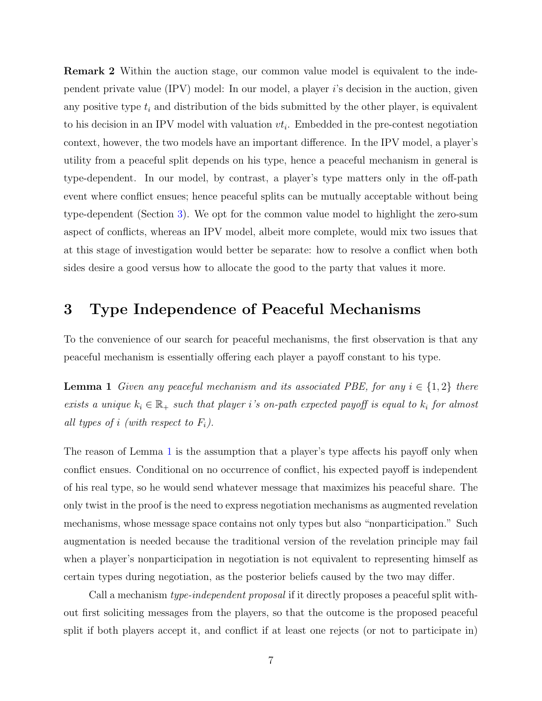Remark 2 Within the auction stage, our common value model is equivalent to the independent private value  $(IPV)$  model: In our model, a player i's decision in the auction, given any positive type  $t_i$  and distribution of the bids submitted by the other player, is equivalent to his decision in an IPV model with valuation  $vt_i$ . Embedded in the pre-contest negotiation context, however, the two models have an important difference. In the IPV model, a player's utility from a peaceful split depends on his type, hence a peaceful mechanism in general is type-dependent. In our model, by contrast, a player's type matters only in the off-path event where conflict ensues; hence peaceful splits can be mutually acceptable without being type-dependent (Section [3\)](#page-6-0). We opt for the common value model to highlight the zero-sum aspect of conflicts, whereas an IPV model, albeit more complete, would mix two issues that at this stage of investigation would better be separate: how to resolve a conflict when both sides desire a good versus how to allocate the good to the party that values it more.

## <span id="page-6-0"></span>3 Type Independence of Peaceful Mechanisms

To the convenience of our search for peaceful mechanisms, the first observation is that any peaceful mechanism is essentially offering each player a payoff constant to his type.

<span id="page-6-1"></span>**Lemma 1** Given any peaceful mechanism and its associated PBE, for any  $i \in \{1,2\}$  there exists a unique  $k_i \in \mathbb{R}_+$  such that player i's on-path expected payoff is equal to  $k_i$  for almost all types of i (with respect to  $F_i$ ).

The reason of Lemma [1](#page-6-1) is the assumption that a player's type affects his payoff only when conflict ensues. Conditional on no occurrence of conflict, his expected payoff is independent of his real type, so he would send whatever message that maximizes his peaceful share. The only twist in the proof is the need to express negotiation mechanisms as augmented revelation mechanisms, whose message space contains not only types but also "nonparticipation." Such augmentation is needed because the traditional version of the revelation principle may fail when a player's nonparticipation in negotiation is not equivalent to representing himself as certain types during negotiation, as the posterior beliefs caused by the two may differ.

Call a mechanism *type-independent proposal* if it directly proposes a peaceful split without first soliciting messages from the players, so that the outcome is the proposed peaceful split if both players accept it, and conflict if at least one rejects (or not to participate in)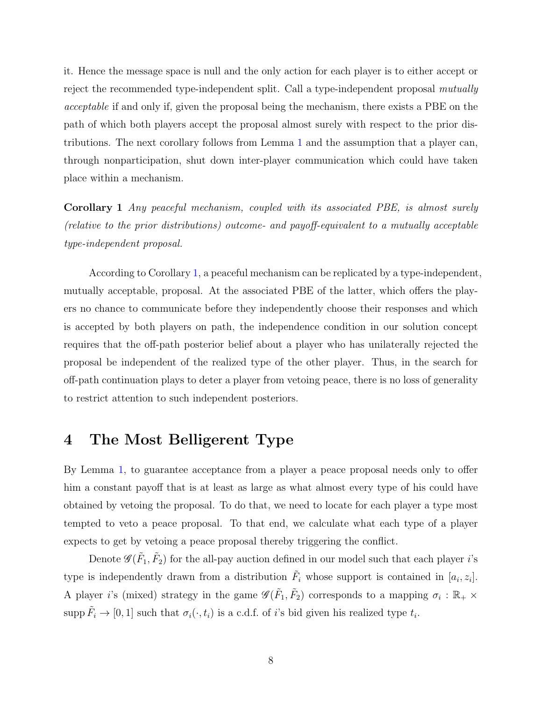it. Hence the message space is null and the only action for each player is to either accept or reject the recommended type-independent split. Call a type-independent proposal mutually acceptable if and only if, given the proposal being the mechanism, there exists a PBE on the path of which both players accept the proposal almost surely with respect to the prior distributions. The next corollary follows from Lemma [1](#page-6-1) and the assumption that a player can, through nonparticipation, shut down inter-player communication which could have taken place within a mechanism.

<span id="page-7-0"></span>Corollary 1 Any peaceful mechanism, coupled with its associated PBE, is almost surely (relative to the prior distributions) outcome- and payoff-equivalent to a mutually acceptable type-independent proposal.

According to Corollary [1,](#page-7-0) a peaceful mechanism can be replicated by a type-independent, mutually acceptable, proposal. At the associated PBE of the latter, which offers the players no chance to communicate before they independently choose their responses and which is accepted by both players on path, the independence condition in our solution concept requires that the off-path posterior belief about a player who has unilaterally rejected the proposal be independent of the realized type of the other player. Thus, in the search for off-path continuation plays to deter a player from vetoing peace, there is no loss of generality to restrict attention to such independent posteriors.

## 4 The Most Belligerent Type

By Lemma [1,](#page-6-1) to guarantee acceptance from a player a peace proposal needs only to offer him a constant payoff that is at least as large as what almost every type of his could have obtained by vetoing the proposal. To do that, we need to locate for each player a type most tempted to veto a peace proposal. To that end, we calculate what each type of a player expects to get by vetoing a peace proposal thereby triggering the conflict.

Denote  $\mathscr{G}(\tilde{F}_1, \tilde{F}_2)$  for the all-pay auction defined in our model such that each player *i*'s type is independently drawn from a distribution  $\tilde{F}_i$  whose support is contained in  $[a_i, z_i]$ . A player *i*'s (mixed) strategy in the game  $\mathscr{G}(\tilde{F}_1, \tilde{F}_2)$  corresponds to a mapping  $\sigma_i : \mathbb{R}_+ \times$ supp  $\tilde{F}_i \to [0, 1]$  such that  $\sigma_i(\cdot, t_i)$  is a c.d.f. of i's bid given his realized type  $t_i$ .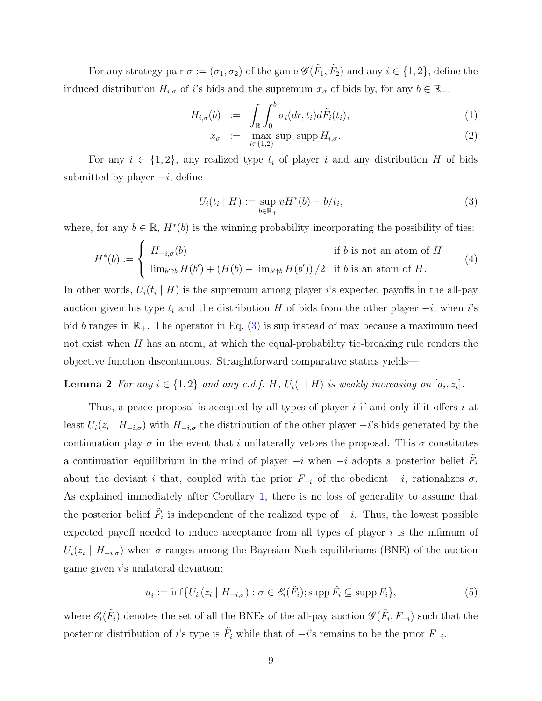For any strategy pair  $\sigma := (\sigma_1, \sigma_2)$  of the game  $\mathscr{G}(\tilde{F}_1, \tilde{F}_2)$  and any  $i \in \{1, 2\}$ , define the induced distribution  $H_{i,\sigma}$  of i's bids and the supremum  $x_{\sigma}$  of bids by, for any  $b \in \mathbb{R}_+$ ,

<span id="page-8-5"></span>
$$
H_{i,\sigma}(b) := \int_{\mathbb{R}} \int_0^b \sigma_i(dr,t_i) d\tilde{F}_i(t_i), \qquad (1)
$$

$$
x_{\sigma} := \max_{i \in \{1,2\}} \sup \, \operatorname{supp} H_{i,\sigma}.\tag{2}
$$

For any  $i \in \{1,2\}$ , any realized type  $t_i$  of player i and any distribution H of bids submitted by player  $-i$ , define

<span id="page-8-4"></span><span id="page-8-1"></span>
$$
U_i(t_i \mid H) := \sup_{b \in \mathbb{R}_+} vH^*(b) - b/t_i,
$$
\n(3)

where, for any  $b \in \mathbb{R}$ ,  $H^*(b)$  is the winning probability incorporating the possibility of ties:

<span id="page-8-3"></span>
$$
H^*(b) := \begin{cases} H_{-i,\sigma}(b) & \text{if } b \text{ is not an atom of } H \\ \lim_{b' \uparrow b} H(b') + (H(b) - \lim_{b' \uparrow b} H(b'))/2 & \text{if } b \text{ is an atom of } H. \end{cases}
$$
(4)

In other words,  $U_i(t_i | H)$  is the supremum among player i's expected payoffs in the all-pay auction given his type  $t_i$  and the distribution H of bids from the other player  $-i$ , when i's bid b ranges in  $\mathbb{R}_+$ . The operator in Eq. [\(3\)](#page-8-1) is sup instead of max because a maximum need not exist when  $H$  has an atom, at which the equal-probability tie-breaking rule renders the objective function discontinuous. Straightforward comparative statics yields—

### **Lemma 2** For any  $i \in \{1,2\}$  and any c.d.f. H,  $U_i(\cdot | H)$  is weakly increasing on  $[a_i, z_i]$ .

Thus, a peace proposal is accepted by all types of player  $i$  if and only if it offers  $i$  at least  $U_i(z_i \mid H_{-i,\sigma})$  with  $H_{-i,\sigma}$  the distribution of the other player  $-i$ 's bids generated by the continuation play  $\sigma$  in the event that i unilaterally vetoes the proposal. This  $\sigma$  constitutes a continuation equilibrium in the mind of player  $-i$  when  $-i$  adopts a posterior belief  $\tilde{F}_i$ about the deviant i that, coupled with the prior  $F_{-i}$  of the obedient  $-i$ , rationalizes  $\sigma$ . As explained immediately after Corollary [1,](#page-7-0) there is no loss of generality to assume that the posterior belief  $\tilde{F}_i$  is independent of the realized type of  $-i$ . Thus, the lowest possible expected payoff needed to induce acceptance from all types of player  $i$  is the infimum of  $U_i(z_i \mid H_{-i,\sigma})$  when  $\sigma$  ranges among the Bayesian Nash equilibriums (BNE) of the auction game given  $i$ 's unilateral deviation:

<span id="page-8-2"></span>
$$
\underline{u}_i := \inf \{ U_i \left( z_i \mid H_{-i,\sigma} \right) : \sigma \in \mathscr{E}_i(\tilde{F}_i); \text{supp}\,\tilde{F}_i \subseteq \text{supp}\,F_i \},\tag{5}
$$

<span id="page-8-0"></span>where  $\mathscr{E}_i(\tilde{F}_i)$  denotes the set of all the BNEs of the all-pay auction  $\mathscr{G}(\tilde{F}_i, F_{-i})$  such that the posterior distribution of i's type is  $\tilde{F}_i$  while that of  $-i$ 's remains to be the prior  $F_{-i}$ .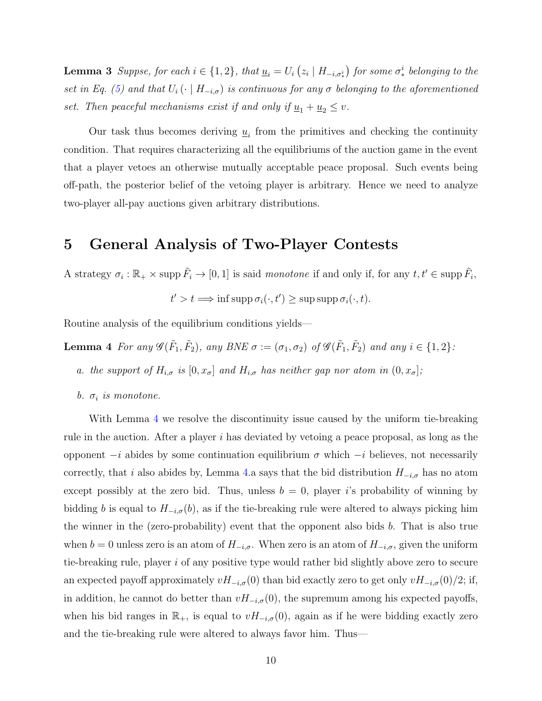**Lemma 3** Suppse, for each  $i \in \{1,2\}$ , that  $\underline{u}_i = U_i (z_i \mid H_{-i,\sigma^i_*})$  for some  $\sigma^i_*$  belonging to the set in Eq. [\(5\)](#page-8-2) and that  $U_i(\cdot \mid H_{-i,\sigma})$  is continuous for any  $\sigma$  belonging to the aforementioned set. Then peaceful mechanisms exist if and only if  $\underline{u}_1 + \underline{u}_2 \leq v$ .

Our task thus becomes deriving  $\underline{u}_i$  from the primitives and checking the continuity condition. That requires characterizing all the equilibriums of the auction game in the event that a player vetoes an otherwise mutually acceptable peace proposal. Such events being off-path, the posterior belief of the vetoing player is arbitrary. Hence we need to analyze two-player all-pay auctions given arbitrary distributions.

## 5 General Analysis of Two-Player Contests

A strategy  $\sigma_i : \mathbb{R}_+ \times \text{supp } \tilde{F}_i \to [0,1]$  is said monotone if and only if, for any  $t, t' \in \text{supp } \tilde{F}_i$ ,

<span id="page-9-1"></span> $t' > t \Longrightarrow \inf \operatorname{supp} \sigma_i(\cdot, t') \geq \sup \operatorname{supp} \sigma_i(\cdot, t).$ 

Routine analysis of the equilibrium conditions yields—

**Lemma 4** For any  $\mathscr{G}(\tilde{F}_1, \tilde{F}_2)$ , any BNE  $\sigma := (\sigma_1, \sigma_2)$  of  $\mathscr{G}(\tilde{F}_1, \tilde{F}_2)$  and any  $i \in \{1, 2\}$ :

- a. the support of  $H_{i,\sigma}$  is  $[0, x_{\sigma}]$  and  $H_{i,\sigma}$  has neither gap nor atom in  $(0, x_{\sigma}]$ ;
- b.  $\sigma_i$  is monotone.

<span id="page-9-0"></span>With Lemma [4](#page-9-1) we resolve the discontinuity issue caused by the uniform tie-breaking rule in the auction. After a player  $i$  has deviated by vetoing a peace proposal, as long as the opponent  $-i$  abides by some continuation equilibrium  $\sigma$  which  $-i$  believes, not necessarily correctly, that i also abides by, Lemma [4.](#page-9-1)a says that the bid distribution  $H_{-i,\sigma}$  has no atom except possibly at the zero bid. Thus, unless  $b = 0$ , player i's probability of winning by bidding b is equal to  $H_{-i,\sigma}(b)$ , as if the tie-breaking rule were altered to always picking him the winner in the (zero-probability) event that the opponent also bids  $b$ . That is also true when  $b = 0$  unless zero is an atom of  $H_{-i,\sigma}$ . When zero is an atom of  $H_{-i,\sigma}$ , given the uniform tie-breaking rule, player i of any positive type would rather bid slightly above zero to secure an expected payoff approximately  $vH_{-i,\sigma}(0)$  than bid exactly zero to get only  $vH_{-i,\sigma}(0)/2$ ; if, in addition, he cannot do better than  $vH_{-i,\sigma}(0)$ , the supremum among his expected payoffs, when his bid ranges in  $\mathbb{R}_+$ , is equal to  $vH_{-i,\sigma}(0)$ , again as if he were bidding exactly zero and the tie-breaking rule were altered to always favor him. Thus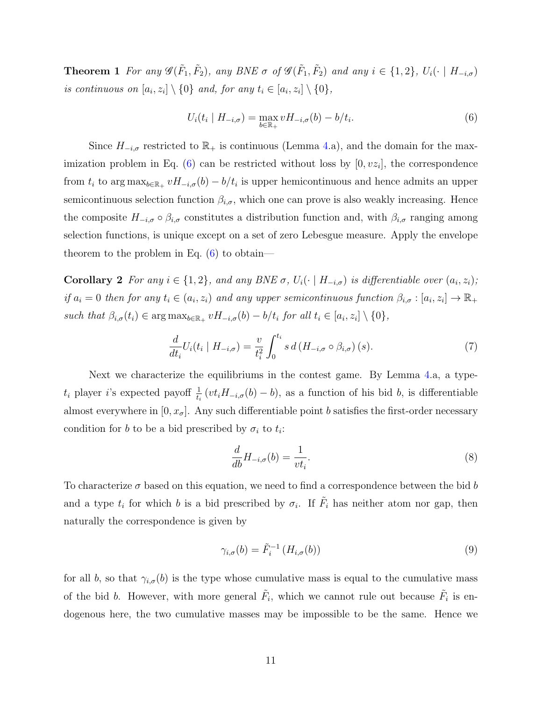**Theorem 1** For any  $\mathscr{G}(\tilde{F}_1, \tilde{F}_2)$ , any BNE  $\sigma$  of  $\mathscr{G}(\tilde{F}_1, \tilde{F}_2)$  and any  $i \in \{1, 2\}$ ,  $U_i(\cdot \mid H_{-i, \sigma})$ is continuous on  $[a_i, z_i] \setminus \{0\}$  and, for any  $t_i \in [a_i, z_i] \setminus \{0\}$ ,

<span id="page-10-1"></span>
$$
U_i(t_i \mid H_{-i,\sigma}) = \max_{b \in \mathbb{R}_+} v H_{-i,\sigma}(b) - b/t_i.
$$
 (6)

Since  $H_{-i,\sigma}$  restricted to  $\mathbb{R}_+$  is continuous (Lemma [4.](#page-9-1)a), and the domain for the max-imization problem in Eq. [\(6\)](#page-10-1) can be restricted without loss by  $[0, vz_i]$ , the correspondence from  $t_i$  to  $\arg \max_{b \in \mathbb{R}_+} v H_{-i,\sigma}(b) - b/t_i$  is upper hemicontinuous and hence admits an upper semicontinuous selection function  $\beta_{i,\sigma}$ , which one can prove is also weakly increasing. Hence the composite  $H_{-i,\sigma} \circ \beta_{i,\sigma}$  constitutes a distribution function and, with  $\beta_{i,\sigma}$  ranging among selection functions, is unique except on a set of zero Lebesgue measure. Apply the envelope theorem to the problem in Eq.  $(6)$  to obtain—

**Corollary 2** For any  $i \in \{1,2\}$ , and any BNE  $\sigma$ ,  $U_i(\cdot | H_{-i,\sigma})$  is differentiable over  $(a_i, z_i)$ ; if  $a_i = 0$  then for any  $t_i \in (a_i, z_i)$  and any upper semicontinuous function  $\beta_{i,\sigma} : [a_i, z_i] \to \mathbb{R}_+$ such that  $\beta_{i,\sigma}(t_i) \in \arg \max_{b \in \mathbb{R}_+} v H_{-i,\sigma}(b) - b/t_i$  for all  $t_i \in [a_i, z_i] \setminus \{0\},$ 

<span id="page-10-4"></span><span id="page-10-3"></span>
$$
\frac{d}{dt_i}U_i(t_i \mid H_{-i,\sigma}) = \frac{v}{t_i^2} \int_0^{t_i} s \, d\left(H_{-i,\sigma} \circ \beta_{i,\sigma}\right)(s). \tag{7}
$$

Next we characterize the equilibriums in the contest game. By Lemma [4.](#page-9-1)a, a typet<sub>i</sub> player i's expected payoff  $\frac{1}{t_i}(vt_iH_{-i,\sigma}(b)-b)$ , as a function of his bid b, is differentiable almost everywhere in  $[0, x_{\sigma}]$ . Any such differentiable point b satisfies the first-order necessary condition for b to be a bid prescribed by  $\sigma_i$  to  $t_i$ :

<span id="page-10-2"></span>
$$
\frac{d}{db}H_{-i,\sigma}(b) = \frac{1}{vt_i}.\tag{8}
$$

To characterize  $\sigma$  based on this equation, we need to find a correspondence between the bid b and a type  $t_i$  for which b is a bid prescribed by  $\sigma_i$ . If  $\tilde{F}_i$  has neither atom nor gap, then naturally the correspondence is given by

<span id="page-10-0"></span>
$$
\gamma_{i,\sigma}(b) = \tilde{F}_i^{-1}\left(H_{i,\sigma}(b)\right) \tag{9}
$$

for all b, so that  $\gamma_{i,\sigma}(b)$  is the type whose cumulative mass is equal to the cumulative mass of the bid b. However, with more general  $\tilde{F}_i$ , which we cannot rule out because  $\tilde{F}_i$  is endogenous here, the two cumulative masses may be impossible to be the same. Hence we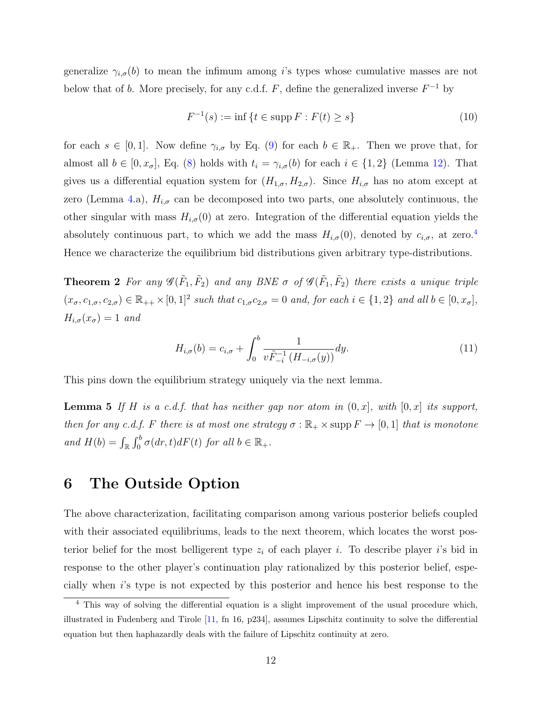generalize  $\gamma_{i,\sigma}(b)$  to mean the infimum among i's types whose cumulative masses are not below that of b. More precisely, for any c.d.f. F, define the generalized inverse  $F^{-1}$  by

<span id="page-11-0"></span>
$$
F^{-1}(s) := \inf \{ t \in \text{supp } F : F(t) \ge s \}
$$
\n(10)

for each  $s \in [0,1]$ . Now define  $\gamma_{i,\sigma}$  by Eq. [\(9\)](#page-10-0) for each  $b \in \mathbb{R}_{+}$ . Then we prove that, for almost all  $b \in [0, x_{\sigma}],$  Eq. [\(8\)](#page-10-2) holds with  $t_i = \gamma_{i,\sigma}(b)$  for each  $i \in \{1,2\}$  (Lemma [12\)](#page-29-0). That gives us a differential equation system for  $(H_{1,\sigma}, H_{2,\sigma})$ . Since  $H_{i,\sigma}$  has no atom except at zero (Lemma [4.](#page-9-1)a),  $H_{i,\sigma}$  can be decomposed into two parts, one absolutely continuous, the other singular with mass  $H_{i,\sigma}(0)$  at zero. Integration of the differential equation yields the absolutely continuous part, to which we add the mass  $H_{i,\sigma}(0)$ , denoted by  $c_{i,\sigma}$ , at zero.<sup>[4](#page-11-1)</sup> Hence we characterize the equilibrium bid distributions given arbitrary type-distributions.

<span id="page-11-2"></span>**Theorem 2** For any  $\mathscr{G}(\tilde{F}_1, \tilde{F}_2)$  and any BNE  $\sigma$  of  $\mathscr{G}(\tilde{F}_1, \tilde{F}_2)$  there exists a unique triple  $(x_{\sigma}, c_{1,\sigma}, c_{2,\sigma}) \in \mathbb{R}_{++} \times [0,1]^2$  such that  $c_{1,\sigma}c_{2,\sigma} = 0$  and, for each  $i \in \{1,2\}$  and all  $b \in [0, x_{\sigma}],$  $H_{i,\sigma}(x_{\sigma}) = 1$  and

<span id="page-11-4"></span><span id="page-11-3"></span>
$$
H_{i,\sigma}(b) = c_{i,\sigma} + \int_0^b \frac{1}{v \tilde{F}_{-i}^{-1} (H_{-i,\sigma}(y))} dy.
$$
 (11)

This pins down the equilibrium strategy uniquely via the next lemma.

**Lemma 5** If H is a c.d.f. that has neither gap nor atom in  $(0, x]$ , with  $[0, x]$  its support, then for any c.d.f. F there is at most one strategy  $\sigma : \mathbb{R}_+ \times \text{supp } F \to [0,1]$  that is monotone and  $H(b) = \int_{\mathbb{R}} \int_0^b \sigma(dr, t) dF(t)$  for all  $b \in \mathbb{R}_+$ .

## 6 The Outside Option

The above characterization, facilitating comparison among various posterior beliefs coupled with their associated equilibriums, leads to the next theorem, which locates the worst posterior belief for the most belligerent type  $z_i$  of each player i. To describe player i's bid in response to the other player's continuation play rationalized by this posterior belief, especially when i's type is not expected by this posterior and hence his best response to the

<span id="page-11-1"></span><sup>&</sup>lt;sup>4</sup> This way of solving the differential equation is a slight improvement of the usual procedure which, illustrated in Fudenberg and Tirole [\[11,](#page-42-10) fn 16, p234], assumes Lipschitz continuity to solve the differential equation but then haphazardly deals with the failure of Lipschitz continuity at zero.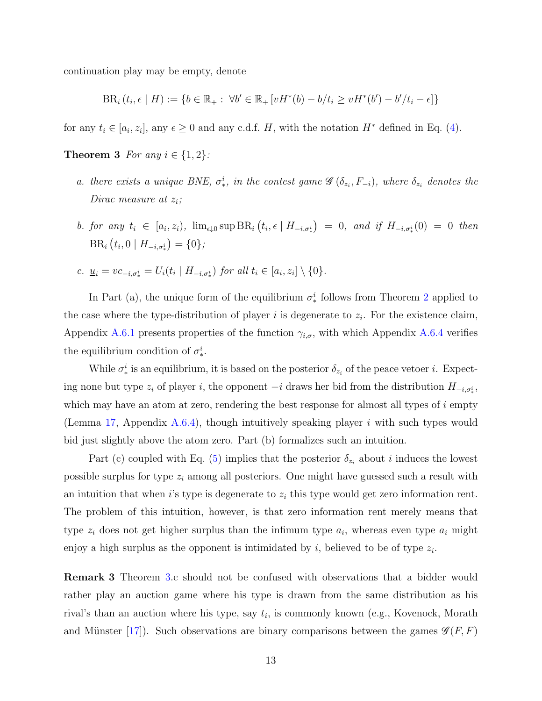continuation play may be empty, denote

<span id="page-12-0"></span>
$$
BR_i(t_i, \epsilon | H) := \{b \in \mathbb{R}_+ : \forall b' \in \mathbb{R}_+ \left[ vH^*(b) - b/t_i \ge vH^*(b') - b'/t_i - \epsilon \right] \}
$$

for any  $t_i \in [a_i, z_i]$ , any  $\epsilon \geq 0$  and any c.d.f. H, with the notation  $H^*$  defined in Eq. [\(4\)](#page-8-3).

**Theorem 3** For any  $i \in \{1, 2\}$ :

- a. there exists a unique BNE,  $\sigma^i_*$ , in the contest game  $\mathscr{G}(\delta_{z_i}, F_{-i})$ , where  $\delta_{z_i}$  denotes the Dirac measure at  $z_i$ ;
- b. for any  $t_i \in [a_i, z_i)$ ,  $\lim_{\epsilon \downarrow 0} \sup BR_i (t_i, \epsilon \mid H_{-i, \sigma_*^i}) = 0$ , and if  $H_{-i, \sigma_*^i}(0) = 0$  then  $BR_i(t_i, 0 \mid H_{-i, \sigma_*^i}) = \{0\};$
- c.  $\underline{u}_i = vc_{-i, \sigma_i^i} = U_i(t_i \mid H_{-i, \sigma_i^i})$  for all  $t_i \in [a_i, z_i] \setminus \{0\}$ .

In Part (a), the unique form of the equilibrium  $\sigma_*^i$  follows from Theorem [2](#page-11-2) applied to the case where the type-distribution of player  $i$  is degenerate to  $z_i$ . For the existence claim, Appendix [A.6.1](#page-32-0) presents properties of the function  $\gamma_{i,\sigma}$ , with which Appendix [A.6.4](#page-35-0) verifies the equilibrium condition of  $\sigma_*^i$ .

While  $\sigma_*^i$  is an equilibrium, it is based on the posterior  $\delta_{z_i}$  of the peace vetoer *i*. Expecting none but type  $z_i$  of player i, the opponent  $-i$  draws her bid from the distribution  $H_{-i,\sigma^i_*}$ , which may have an atom at zero, rendering the best response for almost all types of  $i$  empty (Lemma [17,](#page-35-1) Appendix [A.6.4\)](#page-35-0), though intuitively speaking player  $i$  with such types would bid just slightly above the atom zero. Part (b) formalizes such an intuition.

Part (c) coupled with Eq. [\(5\)](#page-8-2) implies that the posterior  $\delta_{z_i}$  about i induces the lowest possible surplus for type  $z_i$  among all posteriors. One might have guessed such a result with an intuition that when i's type is degenerate to  $z_i$  this type would get zero information rent. The problem of this intuition, however, is that zero information rent merely means that type  $z_i$  does not get higher surplus than the infimum type  $a_i$ , whereas even type  $a_i$  might enjoy a high surplus as the opponent is intimidated by  $i$ , believed to be of type  $z_i$ .

<span id="page-12-1"></span>Remark 3 Theorem [3.](#page-12-0)c should not be confused with observations that a bidder would rather play an auction game where his type is drawn from the same distribution as his rival's than an auction where his type, say  $t_i$ , is commonly known (e.g., Kovenock, Morath and Münster [\[17\]](#page-43-9)). Such observations are binary comparisons between the games  $\mathscr{G}(F, F)$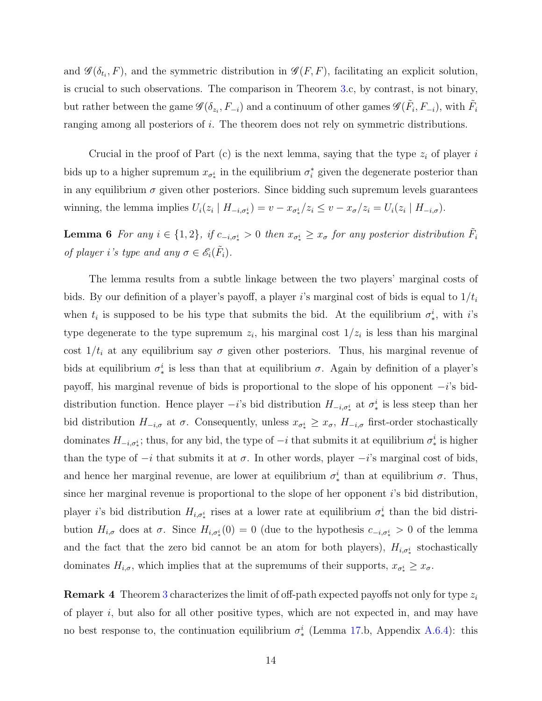and  $\mathscr{G}(\delta_{t_i}, F)$ , and the symmetric distribution in  $\mathscr{G}(F, F)$ , facilitating an explicit solution, is crucial to such observations. The comparison in Theorem [3.](#page-12-0)c, by contrast, is not binary, but rather between the game  $\mathscr{G}(\delta_{z_i}, F_{-i})$  and a continuum of other games  $\mathscr{G}(\tilde{F}_i, F_{-i})$ , with  $\tilde{F}_i$ ranging among all posteriors of i. The theorem does not rely on symmetric distributions.

Crucial in the proof of Part (c) is the next lemma, saying that the type  $z_i$  of player i bids up to a higher supremum  $x_{\sigma^i_*}$  in the equilibrium  $\sigma^*_i$  given the degenerate posterior than in any equilibrium  $\sigma$  given other posteriors. Since bidding such supremum levels guarantees winning, the lemma implies  $U_i(z_i \mid H_{-i,\sigma_i^i}) = v - x_{\sigma_i^i}/z_i \leq v - x_{\sigma}/z_i = U_i(z_i \mid H_{-i,\sigma}).$ 

<span id="page-13-1"></span>**Lemma 6** For any  $i \in \{1,2\}$ , if  $c_{-i,\sigma^i_*} > 0$  then  $x_{\sigma^i_*} \ge x_{\sigma}$  for any posterior distribution  $\tilde{F}_i$ of player i's type and any  $\sigma \in \mathscr{E}_i(\tilde{F}_i)$ .

The lemma results from a subtle linkage between the two players' marginal costs of bids. By our definition of a player's payoff, a player i's marginal cost of bids is equal to  $1/t_i$ when  $t_i$  is supposed to be his type that submits the bid. At the equilibrium  $\sigma_*^i$ , with i's type degenerate to the type supremum  $z_i$ , his marginal cost  $1/z_i$  is less than his marginal cost  $1/t_i$  at any equilibrium say  $\sigma$  given other posteriors. Thus, his marginal revenue of bids at equilibrium  $\sigma_*^i$  is less than that at equilibrium  $\sigma$ . Again by definition of a player's payoff, his marginal revenue of bids is proportional to the slope of his opponent  $-i$ 's biddistribution function. Hence player  $-i$ 's bid distribution  $H_{-i,\sigma^i_*}$  at  $\sigma^i_*$  is less steep than her bid distribution  $H_{-i,\sigma}$  at  $\sigma$ . Consequently, unless  $x_{\sigma^i_*} \geq x_{\sigma}$ ,  $H_{-i,\sigma}$  first-order stochastically dominates  $H_{-i,\sigma_i^i}$ ; thus, for any bid, the type of  $-i$  that submits it at equilibrium  $\sigma_i^i$  is higher than the type of  $-i$  that submits it at  $\sigma$ . In other words, player  $-i$ 's marginal cost of bids, and hence her marginal revenue, are lower at equilibrium  $\sigma_*^i$  than at equilibrium  $\sigma$ . Thus, since her marginal revenue is proportional to the slope of her opponent  $i$ 's bid distribution, player *i*'s bid distribution  $H_{i,\sigma^i_*}$  rises at a lower rate at equilibrium  $\sigma^i_*$  than the bid distribution  $H_{i,\sigma}$  does at  $\sigma$ . Since  $H_{i,\sigma^i}(0) = 0$  (due to the hypothesis  $c_{-i,\sigma^i}(0) = 0$  of the lemma and the fact that the zero bid cannot be an atom for both players),  $H_{i,\sigma^i_*}$  stochastically dominates  $H_{i,\sigma}$ , which implies that at the supremums of their supports,  $x_{\sigma_i^i} \geq x_{\sigma}$ .

<span id="page-13-0"></span>**Remark 4** Theorem [3](#page-12-0) characterizes the limit of off-path expected payoffs not only for type  $z_i$ of player  $i$ , but also for all other positive types, which are not expected in, and may have no best response to, the continuation equilibrium  $\sigma_*^i$  (Lemma [17.](#page-35-1)b, Appendix [A.6.4\)](#page-35-0): this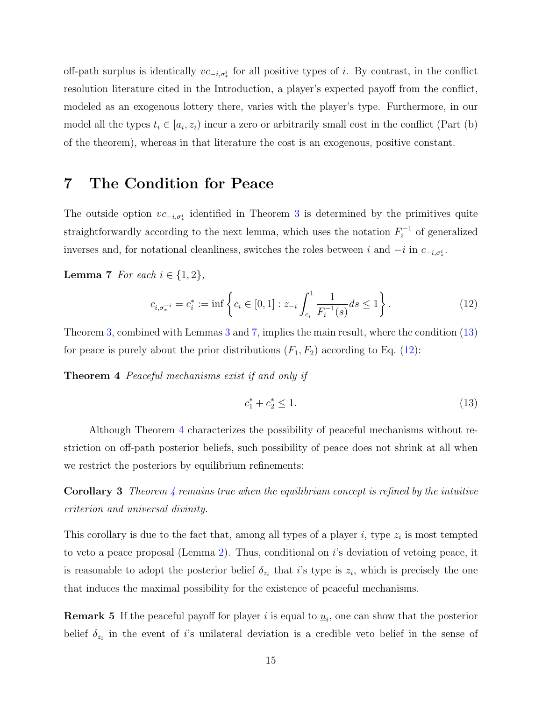off-path surplus is identically  $vc_{-i,\sigma^i_*}$  for all positive types of i. By contrast, in the conflict resolution literature cited in the Introduction, a player's expected payoff from the conflict, modeled as an exogenous lottery there, varies with the player's type. Furthermore, in our model all the types  $t_i \in [a_i, z_i)$  incur a zero or arbitrarily small cost in the conflict (Part (b) of the theorem), whereas in that literature the cost is an exogenous, positive constant.

## 7 The Condition for Peace

The outside option  $vc_{-i,\sigma^i_*}$  identified in Theorem [3](#page-12-0) is determined by the primitives quite straightforwardly according to the next lemma, which uses the notation  $F_i^{-1}$  $i^{-1}$  of generalized inverses and, for notational cleanliness, switches the roles between i and  $-i$  in  $c_{-i, \sigma_i^i}$ .

Lemma 7 For each  $i \in \{1,2\}$ ,

<span id="page-14-5"></span>
$$
c_{i, \sigma_*^{-i}} = c_i^* := \inf \left\{ c_i \in [0, 1] : z_{-i} \int_{c_i}^1 \frac{1}{F_i^{-1}(s)} ds \le 1 \right\}.
$$
 (12)

Theorem [3,](#page-12-0) combined with Lemmas [3](#page-8-0) and [7,](#page-14-3) implies the main result, where the condition [\(13\)](#page-14-4) for peace is purely about the prior distributions  $(F_1, F_2)$  according to Eq. [\(12\)](#page-14-5):

Theorem 4 Peaceful mechanisms exist if and only if

<span id="page-14-4"></span><span id="page-14-3"></span><span id="page-14-1"></span><span id="page-14-0"></span>
$$
c_1^* + c_2^* \le 1. \tag{13}
$$

Although Theorem [4](#page-14-0) characterizes the possibility of peaceful mechanisms without restriction on off-path posterior beliefs, such possibility of peace does not shrink at all when we restrict the posteriors by equilibrium refinements:

**Corollary 3** Theorem  $\frac{1}{4}$  $\frac{1}{4}$  $\frac{1}{4}$  remains true when the equilibrium concept is refined by the intuitive criterion and universal divinity.

This corollary is due to the fact that, among all types of a player  $i$ , type  $z_i$  is most tempted to veto a peace proposal (Lemma [2\)](#page-8-4). Thus, conditional on i's deviation of vetoing peace, it is reasonable to adopt the posterior belief  $\delta_{z_i}$  that i's type is  $z_i$ , which is precisely the one that induces the maximal possibility for the existence of peaceful mechanisms.

<span id="page-14-2"></span>**Remark 5** If the peaceful payoff for player i is equal to  $\underline{u}_i$ , one can show that the posterior belief  $\delta_{z_i}$  in the event of i's unilateral deviation is a credible veto belief in the sense of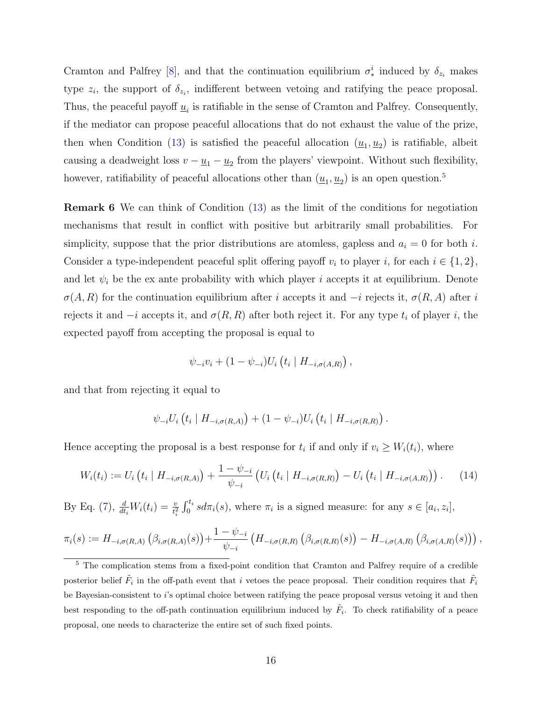Cramton and Palfrey [\[8\]](#page-42-7), and that the continuation equilibrium  $\sigma_*^i$  induced by  $\delta_{z_i}$  makes type  $z_i$ , the support of  $\delta_{z_i}$ , indifferent between vetoing and ratifying the peace proposal. Thus, the peaceful payoff  $\underline{u}_i$  is ratifiable in the sense of Cramton and Palfrey. Consequently, if the mediator can propose peaceful allocations that do not exhaust the value of the prize, then when Condition [\(13\)](#page-14-4) is satisfied the peaceful allocation  $(\underline{u}_1, \underline{u}_2)$  is ratifiable, albeit causing a deadweight loss  $v - \underline{u}_1 - \underline{u}_2$  from the players' viewpoint. Without such flexibility, however, ratifiability of peaceful allocations other than  $(\underline{u}_1, \underline{u}_2)$  is an open question.<sup>[5](#page-15-1)</sup>

<span id="page-15-0"></span>Remark 6 We can think of Condition [\(13\)](#page-14-4) as the limit of the conditions for negotiation mechanisms that result in conflict with positive but arbitrarily small probabilities. For simplicity, suppose that the prior distributions are atomless, gapless and  $a_i = 0$  for both i. Consider a type-independent peaceful split offering payoff  $v_i$  to player i, for each  $i \in \{1, 2\}$ , and let  $\psi_i$  be the ex ante probability with which player i accepts it at equilibrium. Denote  $\sigma(A, R)$  for the continuation equilibrium after i accepts it and  $-i$  rejects it,  $\sigma(R, A)$  after i rejects it and  $-i$  accepts it, and  $\sigma(R, R)$  after both reject it. For any type  $t_i$  of player i, the expected payoff from accepting the proposal is equal to

$$
\psi_{-i}v_i + (1 - \psi_{-i})U_i\left(t_i \mid H_{-i,\sigma(A,R)}\right),
$$

and that from rejecting it equal to

$$
\psi_{-i}U_i(t_i | H_{-i,\sigma(R,A)}) + (1 - \psi_{-i})U_i(t_i | H_{-i,\sigma(R,R)})
$$
.

Hence accepting the proposal is a best response for  $t_i$  if and only if  $v_i \geq W_i(t_i)$ , where

$$
W_i(t_i) := U_i \left( t_i \mid H_{-i, \sigma(R, A)} \right) + \frac{1 - \psi_{-i}}{\psi_{-i}} \left( U_i \left( t_i \mid H_{-i, \sigma(R, R)} \right) - U_i \left( t_i \mid H_{-i, \sigma(A, R)} \right) \right). \tag{14}
$$

By Eq. [\(7\)](#page-10-3),  $\frac{d}{dt_i}W_i(t_i) = \frac{v}{t_i^2} \int_0^{t_i} s d\pi_i(s)$ , where  $\pi_i$  is a signed measure: for any  $s \in [a_i, z_i]$ ,

$$
\pi_i(s) := H_{-i,\sigma(R,A)}\left(\beta_{i,\sigma(R,A)}(s)\right) + \frac{1-\psi_{-i}}{\psi_{-i}}\left(H_{-i,\sigma(R,R)}\left(\beta_{i,\sigma(R,R)}(s)\right) - H_{-i,\sigma(A,R)}\left(\beta_{i,\sigma(A,R)}(s)\right)\right),
$$

<span id="page-15-1"></span><sup>&</sup>lt;sup>5</sup> The complication stems from a fixed-point condition that Cramton and Palfrey require of a credible posterior belief  $\tilde{F}_i$  in the off-path event that i vetoes the peace proposal. Their condition requires that  $\tilde{F}_i$ be Bayesian-consistent to i's optimal choice between ratifying the peace proposal versus vetoing it and then best responding to the off-path continuation equilibrium induced by  $\tilde{F}_i$ . To check ratifiability of a peace proposal, one needs to characterize the entire set of such fixed points.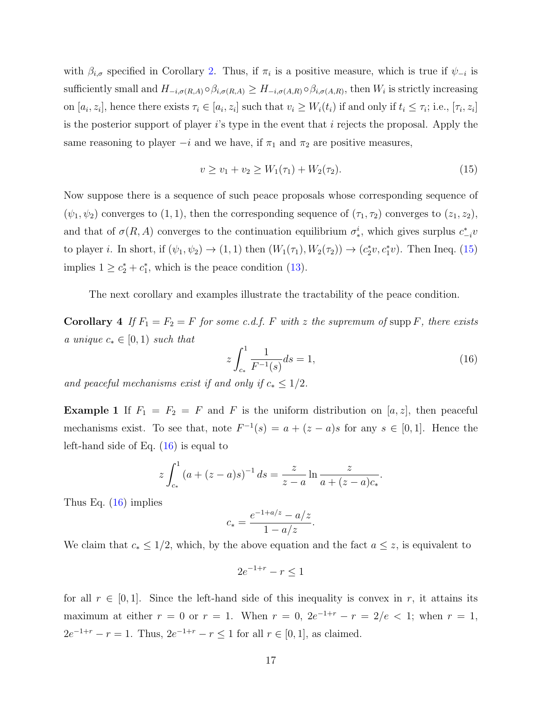with  $\beta_{i,\sigma}$  specified in Corollary [2.](#page-10-4) Thus, if  $\pi_i$  is a positive measure, which is true if  $\psi_{-i}$  is sufficiently small and  $H_{-i,\sigma(R,A)} \circ \beta_{i,\sigma(R,A)} \geq H_{-i,\sigma(A,R)} \circ \beta_{i,\sigma(A,R)}$ , then  $W_i$  is strictly increasing on  $[a_i, z_i]$ , hence there exists  $\tau_i \in [a_i, z_i]$  such that  $v_i \geq W_i(t_i)$  if and only if  $t_i \leq \tau_i$ ; i.e.,  $[\tau_i, z_i]$ is the posterior support of player  $i$ 's type in the event that  $i$  rejects the proposal. Apply the same reasoning to player  $-i$  and we have, if  $\pi_1$  and  $\pi_2$  are positive measures,

<span id="page-16-0"></span>
$$
v \ge v_1 + v_2 \ge W_1(\tau_1) + W_2(\tau_2). \tag{15}
$$

Now suppose there is a sequence of such peace proposals whose corresponding sequence of  $(\psi_1, \psi_2)$  converges to  $(1, 1)$ , then the corresponding sequence of  $(\tau_1, \tau_2)$  converges to  $(z_1, z_2)$ , and that of  $\sigma(R, A)$  converges to the continuation equilibrium  $\sigma_*^i$ , which gives surplus  $c_{-i}^*v$ to player *i*. In short, if  $(\psi_1, \psi_2) \to (1, 1)$  then  $(W_1(\tau_1), W_2(\tau_2)) \to (c_2^* v, c_1^* v)$ . Then Ineq. [\(15\)](#page-16-0) implies  $1 \geq c_2^* + c_1^*$ , which is the peace condition [\(13\)](#page-14-4).

The next corollary and examples illustrate the tractability of the peace condition.

<span id="page-16-2"></span>**Corollary 4** If  $F_1 = F_2 = F$  for some c.d.f. F with z the supremum of supp F, there exists a unique  $c_* \in [0,1)$  such that

<span id="page-16-1"></span>
$$
z \int_{c_*}^{1} \frac{1}{F^{-1}(s)} ds = 1,
$$
\n(16)

and peaceful mechanisms exist if and only if  $c_* \leq 1/2$ .

**Example 1** If  $F_1 = F_2 = F$  and F is the uniform distribution on [a, z], then peaceful mechanisms exist. To see that, note  $F^{-1}(s) = a + (z - a)s$  for any  $s \in [0, 1]$ . Hence the left-hand side of Eq. [\(16\)](#page-16-1) is equal to

$$
z \int_{c_*}^1 (a + (z - a)s)^{-1} ds = \frac{z}{z - a} \ln \frac{z}{a + (z - a)c_*}.
$$

Thus Eq. [\(16\)](#page-16-1) implies

$$
c_* = \frac{e^{-1 + a/z} - a/z}{1 - a/z}.
$$

We claim that  $c_* \leq 1/2$ , which, by the above equation and the fact  $a \leq z$ , is equivalent to

$$
2e^{-1+r} - r \le 1
$$

for all  $r \in [0,1]$ . Since the left-hand side of this inequality is convex in r, it attains its maximum at either  $r = 0$  or  $r = 1$ . When  $r = 0$ ,  $2e^{-1+r} - r = 2/e < 1$ ; when  $r = 1$ ,  $2e^{-1+r} - r = 1$ . Thus,  $2e^{-1+r} - r \le 1$  for all  $r \in [0,1]$ , as claimed.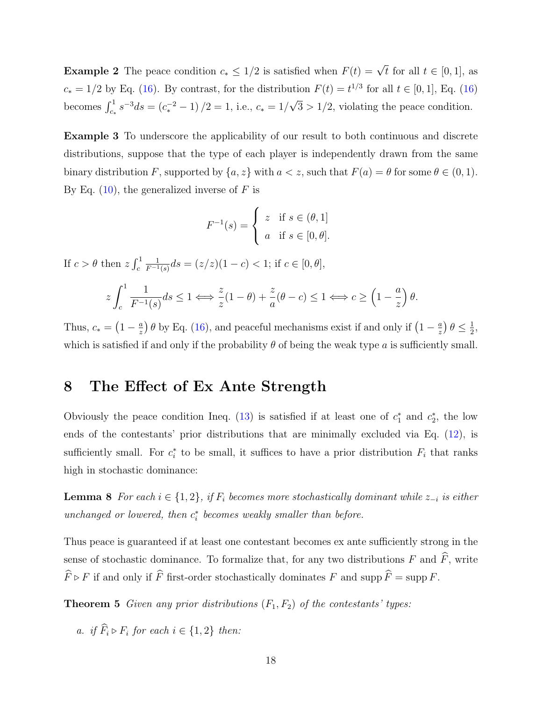**Example 2** The peace condition  $c_* \leq 1/2$  is satisfied when  $F(t) = \sqrt{t}$  for all  $t \in [0, 1]$ , as  $c_* = 1/2$  by Eq. [\(16\)](#page-16-1). By contrast, for the distribution  $F(t) = t^{1/3}$  for all  $t \in [0, 1]$ , Eq. (16) becomes  $\int_{c_*}^1 s^{-3} ds = (c_*^{-2} - 1)/2 = 1$ , i.e.,  $c_* = 1/2$ √  $3 > 1/2$ , violating the peace condition.

Example 3 To underscore the applicability of our result to both continuous and discrete distributions, suppose that the type of each player is independently drawn from the same binary distribution F, supported by  $\{a, z\}$  with  $a < z$ , such that  $F(a) = \theta$  for some  $\theta \in (0, 1)$ . By Eq.  $(10)$ , the generalized inverse of F is

$$
F^{-1}(s) = \begin{cases} z & \text{if } s \in (\theta, 1] \\ a & \text{if } s \in [0, \theta]. \end{cases}
$$

If  $c > \theta$  then  $z \int_c^1$ 1  $\frac{1}{F^{-1}(s)}ds = (z/z)(1-c) < 1;$  if  $c \in [0, \theta],$ 

$$
z \int_c^1 \frac{1}{F^{-1}(s)} ds \le 1 \Longleftrightarrow \frac{z}{z} (1 - \theta) + \frac{z}{a} (\theta - c) \le 1 \Longleftrightarrow c \ge \left(1 - \frac{a}{z}\right) \theta.
$$

Thus,  $c_* = \left(1 - \frac{a}{z}\right)$  $\frac{a}{z}$ )  $\theta$  by Eq. [\(16\)](#page-16-1), and peaceful mechanisms exist if and only if  $\left(1 - \frac{a}{z}\right)$  $\frac{a}{z}$ )  $\theta \leq \frac{1}{2}$  $\frac{1}{2}$ which is satisfied if and only if the probability  $\theta$  of being the weak type a is sufficiently small.

## 8 The Effect of Ex Ante Strength

Obviously the peace condition Ineq. [\(13\)](#page-14-4) is satisfied if at least one of  $c_1^*$  and  $c_2^*$ , the low ends of the contestants' prior distributions that are minimally excluded via Eq. [\(12\)](#page-14-5), is sufficiently small. For  $c_i^*$  to be small, it suffices to have a prior distribution  $F_i$  that ranks high in stochastic dominance:

<span id="page-17-1"></span>**Lemma 8** For each  $i \in \{1, 2\}$ , if  $F_i$  becomes more stochastically dominant while  $z_{-i}$  is either unchanged or lowered, then  $c_i^*$  becomes weakly smaller than before.

Thus peace is guaranteed if at least one contestant becomes ex ante sufficiently strong in the sense of stochastic dominance. To formalize that, for any two distributions  $F$  and  $\widehat{F}$ , write  $\widehat{F} \triangleright F$  if and only if  $\widehat{F}$  first-order stochastically dominates F and supp  $\widehat{F} = \operatorname{supp} F$ .

**Theorem 5** Given any prior distributions  $(F_1, F_2)$  of the contestants' types:

<span id="page-17-0"></span>a. if  $F_i \triangleright F_i$  for each  $i \in \{1,2\}$  then: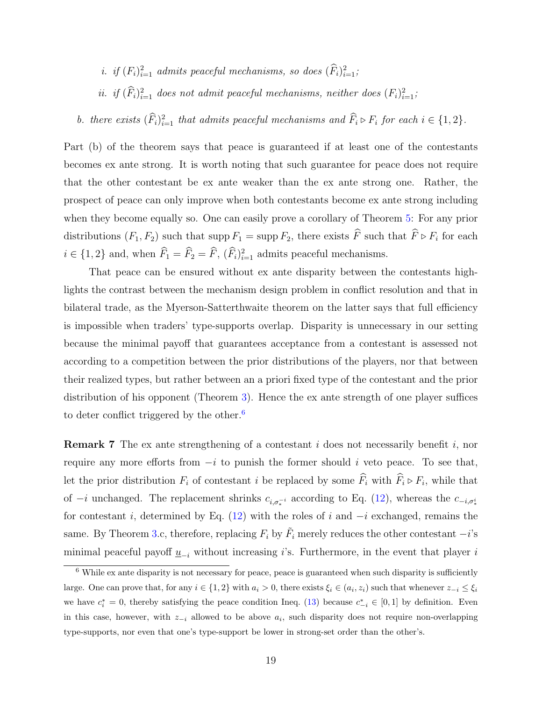- *i.* if  $(F_i)_{i=1}^2$  admits peaceful mechanisms, so does  $(\widehat{F}_i)_{i=1}^2$ ;
- ii. if  $(\widehat{F}_i)_{i=1}^2$  does not admit peaceful mechanisms, neither does  $(F_i)_{i=1}^2$ ;

b. there exists  $(\widehat{F}_i)_{i=1}^2$  that admits peaceful mechanisms and  $\widehat{F}_i \triangleright F_i$  for each  $i \in \{1,2\}$ .

Part (b) of the theorem says that peace is guaranteed if at least one of the contestants becomes ex ante strong. It is worth noting that such guarantee for peace does not require that the other contestant be ex ante weaker than the ex ante strong one. Rather, the prospect of peace can only improve when both contestants become ex ante strong including when they become equally so. One can easily prove a corollary of Theorem [5:](#page-17-0) For any prior distributions  $(F_1, F_2)$  such that supp  $F_1 = \text{supp } F_2$ , there exists F such that  $F \triangleright F_i$  for each  $i \in \{1, 2\}$  and, when  $\widehat{F}_1 = \widehat{F}_2 = \widehat{F}_1$ ,  $(\widehat{F}_i)_{i=1}^2$  admits peaceful mechanisms.

That peace can be ensured without ex ante disparity between the contestants highlights the contrast between the mechanism design problem in conflict resolution and that in bilateral trade, as the Myerson-Satterthwaite theorem on the latter says that full efficiency is impossible when traders' type-supports overlap. Disparity is unnecessary in our setting because the minimal payoff that guarantees acceptance from a contestant is assessed not according to a competition between the prior distributions of the players, nor that between their realized types, but rather between an a priori fixed type of the contestant and the prior distribution of his opponent (Theorem [3\)](#page-12-0). Hence the ex ante strength of one player suffices to deter conflict triggered by the other.<sup>[6](#page-18-1)</sup>

<span id="page-18-0"></span>**Remark 7** The ex ante strengthening of a contestant  $i$  does not necessarily benefit  $i$ , nor require any more efforts from  $-i$  to punish the former should i veto peace. To see that, let the prior distribution  $F_i$  of contestant i be replaced by some  $F_i$  with  $F_i \triangleright F_i$ , while that of  $-i$  unchanged. The replacement shrinks  $c_{i,\sigma_*^{-i}}$  according to Eq. [\(12\)](#page-14-5), whereas the  $c_{-i,\sigma_*^{i}}$ for contestant i, determined by Eq. [\(12\)](#page-14-5) with the roles of i and  $-i$  exchanged, remains the same. By Theorem [3.](#page-12-0)c, therefore, replacing  $F_i$  by  $\tilde{F}_i$  merely reduces the other contestant  $-i$ 's minimal peaceful payoff  $\underline{u}_{-i}$  without increasing i's. Furthermore, in the event that player i

<span id="page-18-1"></span><sup>6</sup> While ex ante disparity is not necessary for peace, peace is guaranteed when such disparity is sufficiently large. One can prove that, for any  $i \in \{1,2\}$  with  $a_i > 0$ , there exists  $\xi_i \in (a_i, z_i)$  such that whenever  $z_{-i} \leq \xi_i$ we have  $c_i^* = 0$ , thereby satisfying the peace condition Ineq. [\(13\)](#page-14-4) because  $c_{-i}^* \in [0,1]$  by definition. Even in this case, however, with  $z_{-i}$  allowed to be above  $a_i$ , such disparity does not require non-overlapping type-supports, nor even that one's type-support be lower in strong-set order than the other's.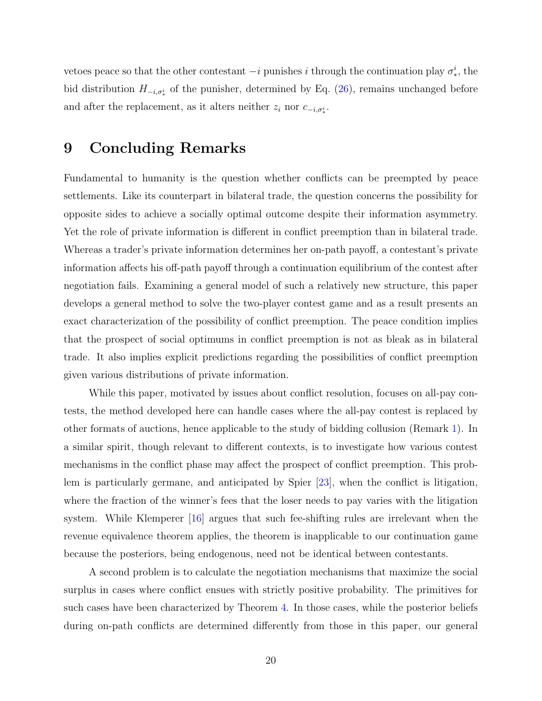vetoes peace so that the other contestant  $-i$  punishes i through the continuation play  $\sigma_*^i$ , the bid distribution  $H_{-i,\sigma^i_*}$  of the punisher, determined by Eq. [\(26\)](#page-34-0), remains unchanged before and after the replacement, as it alters neither  $z_i$  nor  $c_{-i,\sigma^i_*}$ .

## <span id="page-19-0"></span>9 Concluding Remarks

Fundamental to humanity is the question whether conflicts can be preempted by peace settlements. Like its counterpart in bilateral trade, the question concerns the possibility for opposite sides to achieve a socially optimal outcome despite their information asymmetry. Yet the role of private information is different in conflict preemption than in bilateral trade. Whereas a trader's private information determines her on-path payoff, a contestant's private information affects his off-path payoff through a continuation equilibrium of the contest after negotiation fails. Examining a general model of such a relatively new structure, this paper develops a general method to solve the two-player contest game and as a result presents an exact characterization of the possibility of conflict preemption. The peace condition implies that the prospect of social optimums in conflict preemption is not as bleak as in bilateral trade. It also implies explicit predictions regarding the possibilities of conflict preemption given various distributions of private information.

While this paper, motivated by issues about conflict resolution, focuses on all-pay contests, the method developed here can handle cases where the all-pay contest is replaced by other formats of auctions, hence applicable to the study of bidding collusion (Remark [1\)](#page-5-1). In a similar spirit, though relevant to different contexts, is to investigate how various contest mechanisms in the conflict phase may affect the prospect of conflict preemption. This problem is particularly germane, and anticipated by Spier [\[23\]](#page-43-2), when the conflict is litigation, where the fraction of the winner's fees that the loser needs to pay varies with the litigation system. While Klemperer  $|16|$  argues that such fee-shifting rules are irrelevant when the revenue equivalence theorem applies, the theorem is inapplicable to our continuation game because the posteriors, being endogenous, need not be identical between contestants.

A second problem is to calculate the negotiation mechanisms that maximize the social surplus in cases where conflict ensues with strictly positive probability. The primitives for such cases have been characterized by Theorem [4.](#page-14-0) In those cases, while the posterior beliefs during on-path conflicts are determined differently from those in this paper, our general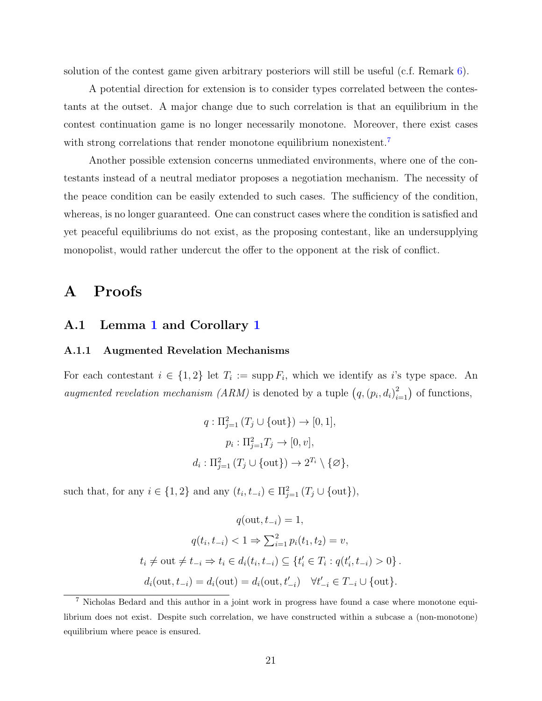solution of the contest game given arbitrary posteriors will still be useful (c.f. Remark  $6$ ).

A potential direction for extension is to consider types correlated between the contestants at the outset. A major change due to such correlation is that an equilibrium in the contest continuation game is no longer necessarily monotone. Moreover, there exist cases with strong correlations that render monotone equilibrium nonexistent.<sup>[7](#page-20-0)</sup>

Another possible extension concerns unmediated environments, where one of the contestants instead of a neutral mediator proposes a negotiation mechanism. The necessity of the peace condition can be easily extended to such cases. The sufficiency of the condition, whereas, is no longer guaranteed. One can construct cases where the condition is satisfied and yet peaceful equilibriums do not exist, as the proposing contestant, like an undersupplying monopolist, would rather undercut the offer to the opponent at the risk of conflict.

## A Proofs

### A.1 Lemma [1](#page-6-1) and Corollary [1](#page-7-0)

#### A.1.1 Augmented Revelation Mechanisms

For each contestant  $i \in \{1,2\}$  let  $T_i := \text{supp } F_i$ , which we identify as i's type space. An augmented revelation mechanism (ARM) is denoted by a tuple  $(q,(p_i,d_i)_{i=1}^2)$  of functions,

$$
q: \Pi_{j=1}^{2} (T_j \cup \{out\}) \to [0, 1],
$$
  
\n
$$
p_i: \Pi_{j=1}^{2} T_j \to [0, v],
$$
  
\n
$$
d_i: \Pi_{j=1}^{2} (T_j \cup \{out\}) \to 2^{T_i} \setminus \{\emptyset\},
$$

such that, for any  $i \in \{1,2\}$  and any  $(t_i, t_{-i}) \in \Pi_{j=1}^2(T_j \cup \{out\}),$ 

$$
q(\text{out}, t_{-i}) = 1,
$$
  
\n
$$
q(t_i, t_{-i}) < 1 \Rightarrow \sum_{i=1}^2 p_i(t_1, t_2) = v,
$$
  
\n
$$
t_i \neq \text{out} \neq t_{-i} \Rightarrow t_i \in d_i(t_i, t_{-i}) \subseteq \{t'_i \in T_i : q(t'_i, t_{-i}) > 0\}.
$$
  
\n
$$
d_i(\text{out}, t_{-i}) = d_i(\text{out}) = d_i(\text{out}, t'_{-i}) \quad \forall t'_{-i} \in T_{-i} \cup \{\text{out}\}.
$$

<span id="page-20-0"></span><sup>7</sup> Nicholas Bedard and this author in a joint work in progress have found a case where monotone equilibrium does not exist. Despite such correlation, we have constructed within a subcase a (non-monotone) equilibrium where peace is ensured.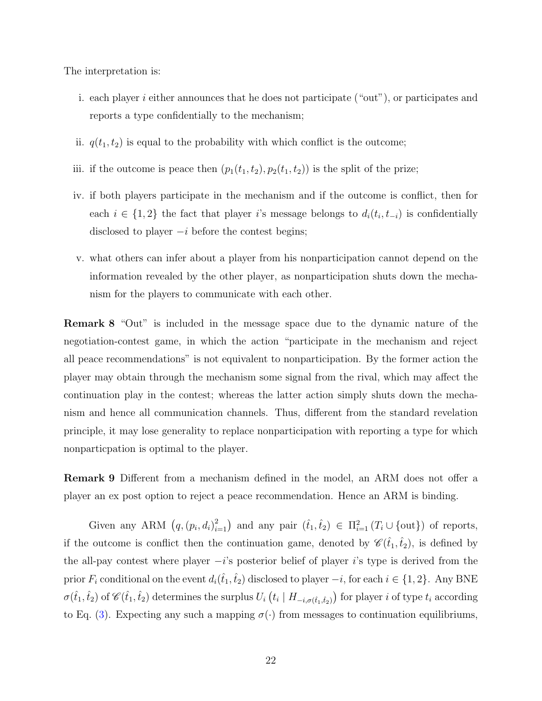The interpretation is:

- i. each player i either announces that he does not participate ("out"), or participates and reports a type confidentially to the mechanism;
- ii.  $q(t_1, t_2)$  is equal to the probability with which conflict is the outcome;
- iii. if the outcome is peace then  $(p_1(t_1, t_2), p_2(t_1, t_2))$  is the split of the prize;
- iv. if both players participate in the mechanism and if the outcome is conflict, then for each  $i \in \{1,2\}$  the fact that player i's message belongs to  $d_i(t_i, t_{-i})$  is confidentially disclosed to player  $-i$  before the contest begins;
- v. what others can infer about a player from his nonparticipation cannot depend on the information revealed by the other player, as nonparticipation shuts down the mechanism for the players to communicate with each other.

Remark 8 "Out" is included in the message space due to the dynamic nature of the negotiation-contest game, in which the action "participate in the mechanism and reject all peace recommendations" is not equivalent to nonparticipation. By the former action the player may obtain through the mechanism some signal from the rival, which may affect the continuation play in the contest; whereas the latter action simply shuts down the mechanism and hence all communication channels. Thus, different from the standard revelation principle, it may lose generality to replace nonparticipation with reporting a type for which nonparticpation is optimal to the player.

Remark 9 Different from a mechanism defined in the model, an ARM does not offer a player an ex post option to reject a peace recommendation. Hence an ARM is binding.

Given any ARM  $(q,(p_i,d_i)_{i=1}^2)$  and any pair  $(\hat{t}_1,\hat{t}_2) \in \Pi_{i=1}^2(T_i \cup \{out\})$  of reports, if the outcome is conflict then the continuation game, denoted by  $\mathscr{C}(\hat{t}_1,\hat{t}_2)$ , is defined by the all-pay contest where player  $-i$ 's posterior belief of player is type is derived from the prior  $F_i$  conditional on the event  $d_i(\hat{t}_1,\hat{t}_2)$  disclosed to player  $-i$ , for each  $i \in \{1,2\}$ . Any BNE  $\sigma(\hat{t}_1,\hat{t}_2)$  of  $\mathscr{C}(\hat{t}_1,\hat{t}_2)$  determines the surplus  $U_i\left(t_i\mid H_{-i,\sigma(\hat{t}_1,\hat{t}_2)}\right)$  for player  $i$  of type  $t_i$  according to Eq. [\(3\)](#page-8-1). Expecting any such a mapping  $\sigma(\cdot)$  from messages to continuation equilibriums,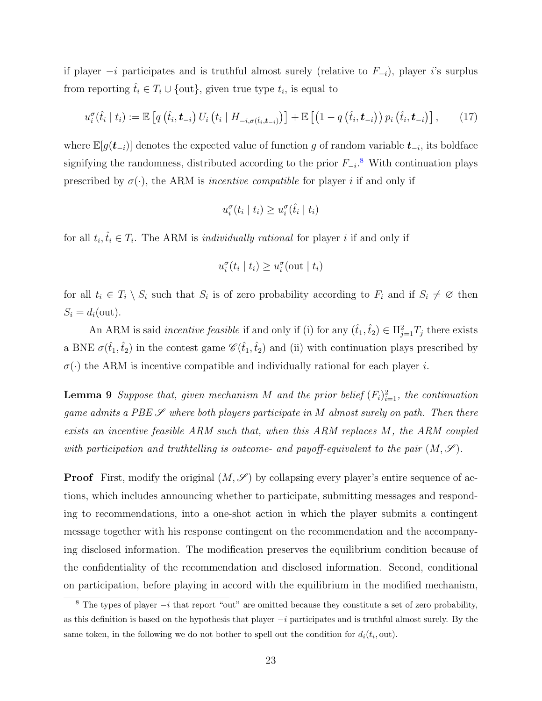if player  $-i$  participates and is truthful almost surely (relative to  $F_{-i}$ ), player i's surplus from reporting  $\hat{t}_i \in T_i \cup \{ \text{out} \}$ , given true type  $t_i$ , is equal to

<span id="page-22-2"></span>
$$
u_i^{\sigma}(\hat{t}_i | t_i) := \mathbb{E}\left[q\left(\hat{t}_i, \bm{t}_{-i}\right) U_i\left(t_i | H_{-i, \sigma(\hat{t}_i, \bm{t}_{-i})}\right)\right] + \mathbb{E}\left[\left(1 - q\left(\hat{t}_i, \bm{t}_{-i}\right)\right) p_i\left(\hat{t}_i, \bm{t}_{-i}\right)\right],\tag{17}
$$

where  $\mathbb{E}[g(t_{-i})]$  denotes the expected value of function g of random variable  $t_{-i}$ , its boldface signifying the randomness, distributed according to the prior  $F_{-i}$ .<sup>[8](#page-22-0)</sup> With continuation plays prescribed by  $\sigma(\cdot)$ , the ARM is *incentive compatible* for player *i* if and only if

$$
u_i^{\sigma}(t_i \mid t_i) \ge u_i^{\sigma}(\hat{t}_i \mid t_i)
$$

for all  $t_i, \hat{t}_i \in T_i$ . The ARM is *individually rational* for player *i* if and only if

$$
u_i^{\sigma}(t_i \mid t_i) \ge u_i^{\sigma}(\text{out} \mid t_i)
$$

for all  $t_i \in T_i \setminus S_i$  such that  $S_i$  is of zero probability according to  $F_i$  and if  $S_i \neq \emptyset$  then  $S_i = d_i(\text{out}).$ 

An ARM is said *incentive feasible* if and only if (i) for any  $(\hat{t}_1, \hat{t}_2) \in \Pi_{j=1}^2 T_j$  there exists a BNE  $\sigma(\hat{t}_1,\hat{t}_2)$  in the contest game  $\mathscr{C}(\hat{t}_1,\hat{t}_2)$  and (ii) with continuation plays prescribed by  $\sigma(\cdot)$  the ARM is incentive compatible and individually rational for each player *i*.

<span id="page-22-1"></span>**Lemma 9** Suppose that, given mechanism M and the prior belief  $(F_i)_{i=1}^2$ , the continuation game admits a PBE  $\mathscr S$  where both players participate in M almost surely on path. Then there exists an incentive feasible ARM such that, when this ARM replaces M, the ARM coupled with participation and truthtelling is outcome- and payoff-equivalent to the pair  $(M, \mathscr{S})$ .

**Proof** First, modify the original  $(M, \mathscr{S})$  by collapsing every player's entire sequence of actions, which includes announcing whether to participate, submitting messages and responding to recommendations, into a one-shot action in which the player submits a contingent message together with his response contingent on the recommendation and the accompanying disclosed information. The modification preserves the equilibrium condition because of the confidentiality of the recommendation and disclosed information. Second, conditional on participation, before playing in accord with the equilibrium in the modified mechanism,

<span id="page-22-0"></span><sup>&</sup>lt;sup>8</sup> The types of player  $-i$  that report "out" are omitted because they constitute a set of zero probability, as this definition is based on the hypothesis that player −i participates and is truthful almost surely. By the same token, in the following we do not bother to spell out the condition for  $d_i(t_i, \text{out})$ .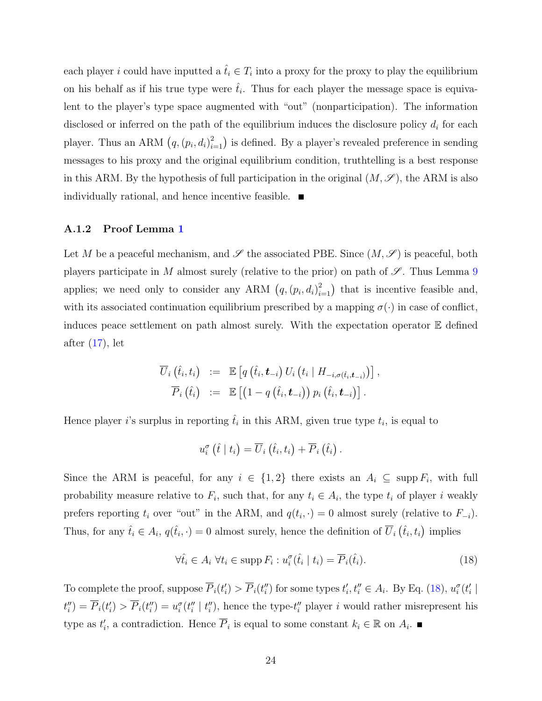each player *i* could have inputted a  $\hat{t}_i \in T_i$  into a proxy for the proxy to play the equilibrium on his behalf as if his true type were  $\hat{t}_i$ . Thus for each player the message space is equivalent to the player's type space augmented with "out" (nonparticipation). The information disclosed or inferred on the path of the equilibrium induces the disclosure policy  $d_i$  for each player. Thus an ARM  $(q, (p_i, d_i)_{i=1}^2)$  is defined. By a player's revealed preference in sending messages to his proxy and the original equilibrium condition, truthtelling is a best response in this ARM. By the hypothesis of full participation in the original  $(M, \mathscr{S})$ , the ARM is also individually rational, and hence incentive feasible.

#### A.1.2 Proof Lemma [1](#page-6-1)

Let M be a peaceful mechanism, and  $\mathscr S$  the associated PBE. Since  $(M, \mathscr S)$  is peaceful, both players participate in M almost surely (relative to the prior) on path of  $\mathscr{S}$ . Thus Lemma [9](#page-22-1) applies; we need only to consider any ARM  $(q,(p_i,d_i)_{i=1}^2)$  that is incentive feasible and, with its associated continuation equilibrium prescribed by a mapping  $\sigma(\cdot)$  in case of conflict, induces peace settlement on path almost surely. With the expectation operator E defined after  $(17)$ , let

$$
\begin{array}{rcl} \overline{U}_i\left(\hat{t}_i,t_i\right) &:=& \mathbb{E}\left[q\left(\hat{t}_i,\bm{t}_{-i}\right)U_i\left(t_i\mid H_{-i,\sigma(\hat{t}_i,\bm{t}_{-i})}\right)\right],\\ \overline{P}_i\left(\hat{t}_i\right) &:=& \mathbb{E}\left[\left(1-q\left(\hat{t}_i,\bm{t}_{-i}\right)\right)p_i\left(\hat{t}_i,\bm{t}_{-i}\right)\right]. \end{array}
$$

Hence player *i*'s surplus in reporting  $\hat{t}_i$  in this ARM, given true type  $t_i$ , is equal to

$$
u_i^{\sigma}(\hat{t} \mid t_i) = \overline{U}_i(\hat{t}_i, t_i) + \overline{P}_i(\hat{t}_i).
$$

Since the ARM is peaceful, for any  $i \in \{1,2\}$  there exists an  $A_i \subseteq \text{supp } F_i$ , with full probability measure relative to  $F_i$ , such that, for any  $t_i \in A_i$ , the type  $t_i$  of player i weakly prefers reporting  $t_i$  over "out" in the ARM, and  $q(t_i, \cdot) = 0$  almost surely (relative to  $F_{-i}$ ). Thus, for any  $\hat{t}_i \in A_i$ ,  $q(\hat{t}_i, \cdot) = 0$  almost surely, hence the definition of  $\overline{U}_i(\hat{t}_i, t_i)$  implies

<span id="page-23-0"></span>
$$
\forall \hat{t}_i \in A_i \,\,\forall t_i \in \text{supp}\, F_i: u_i^{\sigma}(\hat{t}_i \mid t_i) = \overline{P}_i(\hat{t}_i). \tag{18}
$$

To complete the proof, suppose  $\overline{P}_i(t'_i) > \overline{P}_i(t''_i)$  for some types  $t'_i, t''_i \in A_i$ . By Eq. [\(18\)](#page-23-0),  $u_i^{\sigma}(t'_i)$  $t''_i = \overline{P}_i(t'_i) > \overline{P}_i(t''_i) = u_i^{\sigma}(t''_i \mid t''_i)$ , hence the type- $t''_i$  player i would rather misrepresent his type as  $t'_i$ , a contradiction. Hence  $\overline{P}_i$  is equal to some constant  $k_i \in \mathbb{R}$  on  $A_i$ .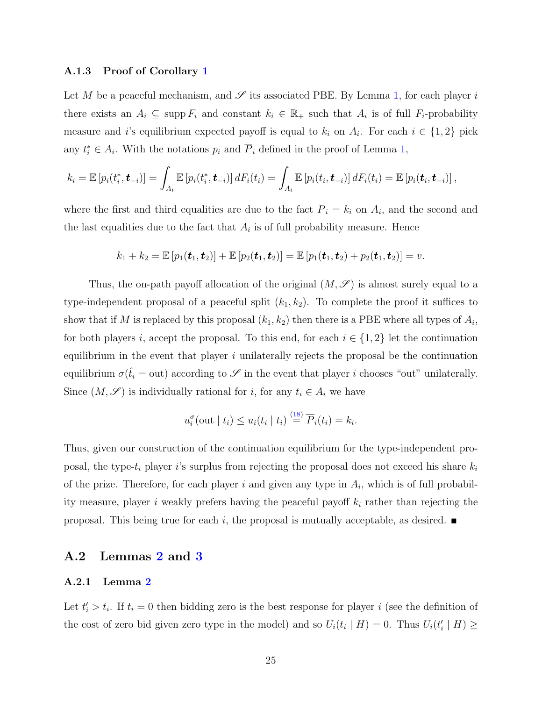#### A.1.3 Proof of Corollary [1](#page-7-0)

Let M be a peaceful mechanism, and  $\mathscr S$  its associated PBE. By Lemma [1,](#page-6-1) for each player i there exists an  $A_i \subseteq \text{supp } F_i$  and constant  $k_i \in \mathbb{R}_+$  such that  $A_i$  is of full  $F_i$ -probability measure and i's equilibrium expected payoff is equal to  $k_i$  on  $A_i$ . For each  $i \in \{1,2\}$  pick any  $t_i^* \in A_i$ . With the notations  $p_i$  and  $\overline{P}_i$  defined in the proof of Lemma [1,](#page-6-1)

$$
k_i = \mathbb{E}\left[p_i(t_i^*, \bm{t}_{-i})\right] = \int_{A_i} \mathbb{E}\left[p_i(t_i^*, \bm{t}_{-i})\right] dF_i(t_i) = \int_{A_i} \mathbb{E}\left[p_i(t_i, \bm{t}_{-i})\right] dF_i(t_i) = \mathbb{E}\left[p_i(\bm{t}_i, \bm{t}_{-i})\right],
$$

where the first and third equalities are due to the fact  $P_i = k_i$  on  $A_i$ , and the second and the last equalities due to the fact that  $A_i$  is of full probability measure. Hence

$$
k_1 + k_2 = \mathbb{E}[p_1(t_1, t_2)] + \mathbb{E}[p_2(t_1, t_2)] = \mathbb{E}[p_1(t_1, t_2) + p_2(t_1, t_2)] = v.
$$

Thus, the on-path payoff allocation of the original  $(M, \mathscr{S})$  is almost surely equal to a type-independent proposal of a peaceful split  $(k_1, k_2)$ . To complete the proof it suffices to show that if M is replaced by this proposal  $(k_1, k_2)$  then there is a PBE where all types of  $A_i$ , for both players i, accept the proposal. To this end, for each  $i \in \{1,2\}$  let the continuation equilibrium in the event that player  $i$  unilaterally rejects the proposal be the continuation equilibrium  $\sigma(\hat{t}_i = \text{out})$  according to  $\mathscr S$  in the event that player i chooses "out" unilaterally. Since  $(M, \mathscr{S})$  is individually rational for *i*, for any  $t_i \in A_i$  we have

$$
u_i^{\sigma}(\text{out} \mid t_i) \leq u_i(t_i \mid t_i) \stackrel{(18)}{=} \overline{P}_i(t_i) = k_i.
$$

Thus, given our construction of the continuation equilibrium for the type-independent proposal, the type- $t_i$  player i's surplus from rejecting the proposal does not exceed his share  $k_i$ of the prize. Therefore, for each player i and given any type in  $A_i$ , which is of full probability measure, player i weakly prefers having the peaceful payoff  $k_i$  rather than rejecting the proposal. This being true for each i, the proposal is mutually acceptable, as desired.  $\blacksquare$ 

### A.2 Lemmas [2](#page-8-4) and [3](#page-8-0)

#### A.2.1 Lemma [2](#page-8-4)

Let  $t_i > t_i$ . If  $t_i = 0$  then bidding zero is the best response for player i (see the definition of the cost of zero bid given zero type in the model) and so  $U_i(t_i | H) = 0$ . Thus  $U_i(t'_i | H) \ge$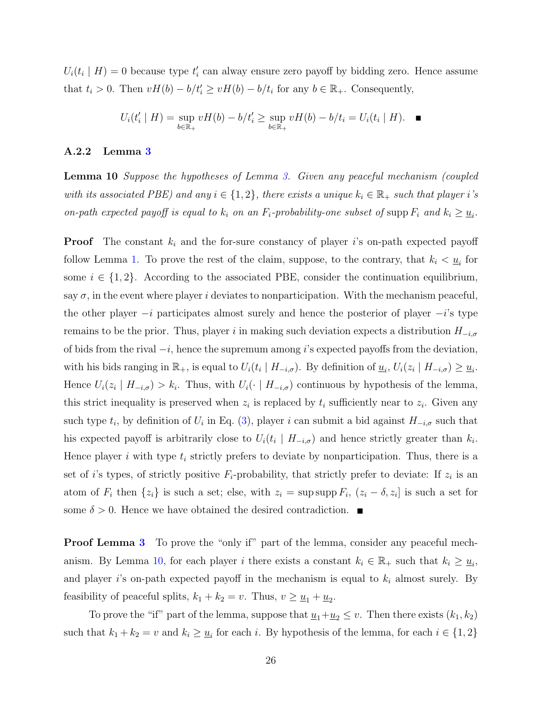$U_i(t_i | H) = 0$  because type  $t'_i$  can alway ensure zero payoff by bidding zero. Hence assume that  $t_i > 0$ . Then  $vH(b) - b/t'_i \ge vH(b) - b/t_i$  for any  $b \in \mathbb{R}_+$ . Consequently,

$$
U_i(t'_i \mid H) = \sup_{b \in \mathbb{R}_+} vH(b) - b/t'_i \ge \sup_{b \in \mathbb{R}_+} vH(b) - b/t_i = U_i(t_i \mid H).
$$

#### A.2.2 Lemma [3](#page-8-0)

<span id="page-25-0"></span>**Lemma 10** Suppose the hypotheses of Lemma [3.](#page-8-0) Given any peaceful mechanism (coupled with its associated PBE) and any  $i \in \{1,2\}$ , there exists a unique  $k_i \in \mathbb{R}_+$  such that player i's on-path expected payoff is equal to  $k_i$  on an  $F_i$ -probability-one subset of supp  $F_i$  and  $k_i \ge \underline{u}_i$ .

**Proof** The constant  $k_i$  and the for-sure constancy of player is on-path expected payoff follow Lemma [1.](#page-6-1) To prove the rest of the claim, suppose, to the contrary, that  $k_i < \underline{u}_i$  for some  $i \in \{1, 2\}$ . According to the associated PBE, consider the continuation equilibrium, say  $\sigma$ , in the event where player i deviates to nonparticipation. With the mechanism peaceful, the other player  $-i$  participates almost surely and hence the posterior of player  $-i$ 's type remains to be the prior. Thus, player i in making such deviation expects a distribution  $H_{-i,\sigma}$ of bids from the rival  $-i$ , hence the supremum among i's expected payoffs from the deviation, with his bids ranging in  $\mathbb{R}_+$ , is equal to  $U_i(t_i \mid H_{-i,\sigma})$ . By definition of  $\underline{u}_i$ ,  $U_i(z_i \mid H_{-i,\sigma}) \ge \underline{u}_i$ . Hence  $U_i(z_i \mid H_{-i,\sigma}) > k_i$ . Thus, with  $U_i(\cdot \mid H_{-i,\sigma})$  continuous by hypothesis of the lemma, this strict inequality is preserved when  $z_i$  is replaced by  $t_i$  sufficiently near to  $z_i$ . Given any such type  $t_i$ , by definition of  $U_i$  in Eq. [\(3\)](#page-8-1), player i can submit a bid against  $H_{-i,\sigma}$  such that his expected payoff is arbitrarily close to  $U_i(t_i \mid H_{-i,\sigma})$  and hence strictly greater than  $k_i$ . Hence player i with type  $t_i$  strictly prefers to deviate by nonparticipation. Thus, there is a set of *i*'s types, of strictly positive  $F_i$ -probability, that strictly prefer to deviate: If  $z_i$  is an atom of  $F_i$  then  $\{z_i\}$  is such a set; else, with  $z_i = \sup \sup F_i$ ,  $(z_i - \delta, z_i]$  is such a set for some  $\delta > 0$ . Hence we have obtained the desired contradiction.

**Proof Lemma [3](#page-8-0)** To prove the "only if" part of the lemma, consider any peaceful mech-anism. By Lemma [10,](#page-25-0) for each player i there exists a constant  $k_i \in \mathbb{R}_+$  such that  $k_i \geq \underline{u}_i$ , and player is on-path expected payoff in the mechanism is equal to  $k_i$  almost surely. By feasibility of peaceful splits,  $k_1 + k_2 = v$ . Thus,  $v \ge \underline{u}_1 + \underline{u}_2$ .

To prove the "if" part of the lemma, suppose that  $\underline{u}_1+\underline{u}_2 \leq v$ . Then there exists  $(k_1, k_2)$ such that  $k_1 + k_2 = v$  and  $k_i \geq \underline{u}_i$  for each i. By hypothesis of the lemma, for each  $i \in \{1, 2\}$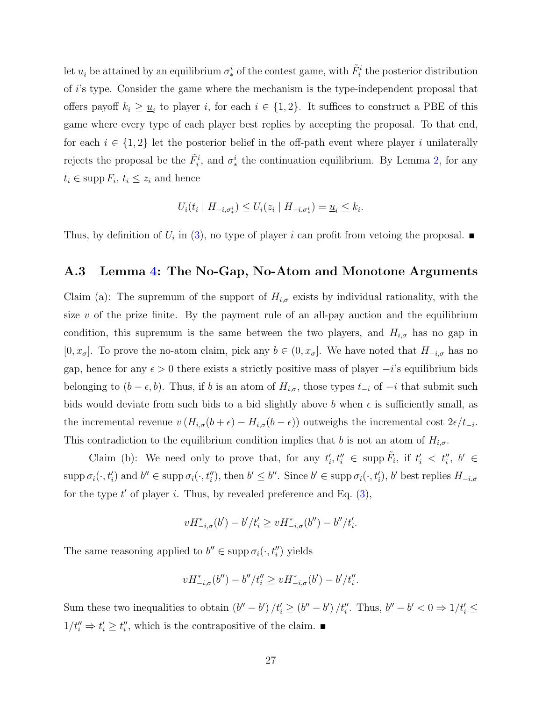let  $\underline{u}_i$  be attained by an equilibrium  $\sigma^i_*$  of the contest game, with  $\tilde{F}^i_i$  the posterior distribution of i's type. Consider the game where the mechanism is the type-independent proposal that offers payoff  $k_i \geq \underline{u}_i$  to player i, for each  $i \in \{1,2\}$ . It suffices to construct a PBE of this game where every type of each player best replies by accepting the proposal. To that end, for each  $i \in \{1,2\}$  let the posterior belief in the off-path event where player i unilaterally rejects the proposal be the  $\tilde{F}^i_i$ , and  $\sigma^i_*$  the continuation equilibrium. By Lemma [2,](#page-8-4) for any  $t_i \in \mathrm{supp}\, F_i, t_i \leq z_i$  and hence

$$
U_i(t_i \mid H_{-i, \sigma^i_*}) \leq U_i(z_i \mid H_{-i, \sigma^i_*}) = \underline{u}_i \leq k_i.
$$

Thus, by definition of  $U_i$  in [\(3\)](#page-8-1), no type of player i can profit from vetoing the proposal.

### A.3 Lemma [4:](#page-9-1) The No-Gap, No-Atom and Monotone Arguments

Claim (a): The supremum of the support of  $H_{i,\sigma}$  exists by individual rationality, with the size  $v$  of the prize finite. By the payment rule of an all-pay auction and the equilibrium condition, this supremum is the same between the two players, and  $H_{i,\sigma}$  has no gap in  $[0, x_{\sigma}]$ . To prove the no-atom claim, pick any  $b \in (0, x_{\sigma}]$ . We have noted that  $H_{-i,\sigma}$  has no gap, hence for any  $\epsilon > 0$  there exists a strictly positive mass of player  $-i$ 's equilibrium bids belonging to  $(b - \epsilon, b)$ . Thus, if b is an atom of  $H_{i,\sigma}$ , those types  $t_{-i}$  of  $-i$  that submit such bids would deviate from such bids to a bid slightly above b when  $\epsilon$  is sufficiently small, as the incremental revenue  $v(H_{i,\sigma}(b+\epsilon) - H_{i,\sigma}(b-\epsilon))$  outweighs the incremental cost  $2\epsilon/t_{-i}$ . This contradiction to the equilibrium condition implies that b is not an atom of  $H_{i,\sigma}$ .

Claim (b): We need only to prove that, for any  $t'_i, t''_i \in \text{supp }\tilde{F}_i$ , if  $t'_i < t''_i$ ,  $b' \in$  $\text{supp }\sigma_i(\cdot, t'_i)$  and  $b'' \in \text{supp }\sigma_i(\cdot, t''_i)$ , then  $b' \leq b''$ . Since  $b' \in \text{supp }\sigma_i(\cdot, t'_i)$ ,  $b'$  best replies  $H_{-i, \sigma}$ for the type  $t'$  of player i. Thus, by revealed preference and Eq.  $(3)$ ,

$$
vH_{-i,\sigma}^*(b') - b'/t'_i \ge vH_{-i,\sigma}^*(b'') - b''/t'_i.
$$

The same reasoning applied to  $b'' \in \text{supp } \sigma_i(\cdot, t''_i)$  yields

$$
vH_{-i,\sigma}^*(b'') - b''/t''_i \ge vH_{-i,\sigma}^*(b') - b'/t''_i.
$$

Sum these two inequalities to obtain  $(b'' - b')/t'_i \ge (b'' - b')/t''_i$ . Thus,  $b'' - b' < 0 \Rightarrow 1/t'_i \le$  $1/t''_i \Rightarrow t'_i \geq t''_i$ , which is the contrapositive of the claim. ■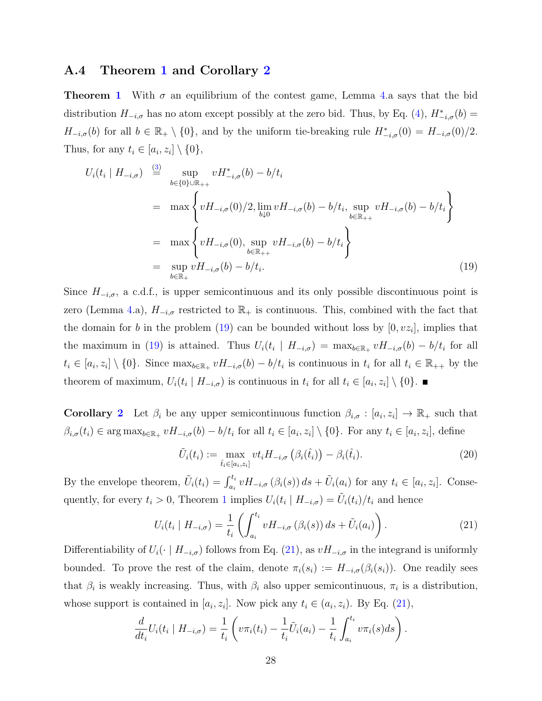### A.4 Theorem [1](#page-9-0) and Corollary [2](#page-10-4)

**Theorem [1](#page-9-0)** With  $\sigma$  an equilibrium of the contest game, Lemma [4.](#page-9-1)a says that the bid distribution  $H_{-i,\sigma}$  has no atom except possibly at the zero bid. Thus, by Eq. [\(4\)](#page-8-3),  $H_{-i,\sigma}^*(b)$  =  $H_{-i,\sigma}(b)$  for all  $b \in \mathbb{R}_+ \setminus \{0\}$ , and by the uniform tie-breaking rule  $H_{-i,\sigma}^*(0) = H_{-i,\sigma}(0)/2$ . Thus, for any  $t_i \in [a_i, z_i] \setminus \{0\},\$ 

<span id="page-27-0"></span>
$$
U_{i}(t_{i} | H_{-i,\sigma}) \stackrel{(3)}{=} \sup_{b \in \{0\} \cup \mathbb{R}_{++}} vH_{-i,\sigma}^{*}(b) - b/t_{i}
$$
  
\n
$$
= \max \left\{ vH_{-i,\sigma}(0)/2, \lim_{b \downarrow 0} vH_{-i,\sigma}(b) - b/t_{i}, \sup_{b \in \mathbb{R}_{++}} vH_{-i,\sigma}(b) - b/t_{i} \right\}
$$
  
\n
$$
= \max \left\{ vH_{-i,\sigma}(0), \sup_{b \in \mathbb{R}_{++}} vH_{-i,\sigma}(b) - b/t_{i} \right\}
$$
  
\n
$$
= \sup_{b \in \mathbb{R}_{+}} vH_{-i,\sigma}(b) - b/t_{i}.
$$
 (19)

Since  $H_{-i,\sigma}$ , a c.d.f., is upper semicontinuous and its only possible discontinuous point is zero (Lemma [4.](#page-9-1)a),  $H_{-i,\sigma}$  restricted to  $\mathbb{R}_+$  is continuous. This, combined with the fact that the domain for b in the problem [\(19\)](#page-27-0) can be bounded without loss by  $[0, vz_i]$ , implies that the maximum in [\(19\)](#page-27-0) is attained. Thus  $U_i(t_i \mid H_{-i,\sigma}) = \max_{b \in \mathbb{R}_+} v H_{-i,\sigma}(b) - b/t_i$  for all  $t_i \in [a_i, z_i] \setminus \{0\}$ . Since  $\max_{b \in \mathbb{R}_+} v H_{-i, \sigma}(b) - b/t_i$  is continuous in  $t_i$  for all  $t_i \in \mathbb{R}_{++}$  by the theorem of maximum,  $U_i(t_i \mid H_{-i,\sigma})$  is continuous in  $t_i$  for all  $t_i \in [a_i, z_i] \setminus \{0\}$ .

**Corollary [2](#page-10-4)** Let  $\beta_i$  be any upper semicontinuous function  $\beta_{i,\sigma} : [a_i, z_i] \to \mathbb{R}_+$  such that  $\beta_{i,\sigma}(t_i) \in \arg \max_{b \in \mathbb{R}_+} v H_{-i,\sigma}(b) - b/t_i$  for all  $t_i \in [a_i, z_i] \setminus \{0\}$ . For any  $t_i \in [a_i, z_i]$ , define

<span id="page-27-2"></span>
$$
\tilde{U}_i(t_i) := \max_{\hat{t}_i \in [a_i, z_i]} vt_i H_{-i, \sigma} \left( \beta_i(\hat{t}_i) \right) - \beta_i(\hat{t}_i). \tag{20}
$$

By the envelope theorem,  $\tilde{U}_i(t_i) = \int_{a_i}^{t_i} v H_{-i,\sigma}(\beta_i(s)) ds + \tilde{U}_i(a_i)$  for any  $t_i \in [a_i, z_i]$ . Consequently, for every  $t_i > 0$ , Theorem [1](#page-9-0) implies  $U_i(t_i | H_{-i,\sigma}) = \tilde{U}_i(t_i)/t_i$  and hence

<span id="page-27-1"></span>
$$
U_i(t_i \mid H_{-i,\sigma}) = \frac{1}{t_i} \left( \int_{a_i}^{t_i} v H_{-i,\sigma} \left( \beta_i(s) \right) ds + \tilde{U}_i(a_i) \right). \tag{21}
$$

Differentiability of  $U_i(\cdot \mid H_{-i,\sigma})$  follows from Eq. [\(21\)](#page-27-1), as  $vH_{-i,\sigma}$  in the integrand is uniformly bounded. To prove the rest of the claim, denote  $\pi_i(s_i) := H_{-i,\sigma}(\beta_i(s_i))$ . One readily sees that  $\beta_i$  is weakly increasing. Thus, with  $\beta_i$  also upper semicontinuous,  $\pi_i$  is a distribution, whose support is contained in  $[a_i, z_i]$ . Now pick any  $t_i \in (a_i, z_i)$ . By Eq. [\(21\)](#page-27-1),

$$
\frac{d}{dt_i}U_i(t_i \mid H_{-i,\sigma}) = \frac{1}{t_i}\left(v\pi_i(t_i) - \frac{1}{t_i}\tilde{U}_i(a_i) - \frac{1}{t_i}\int_{a_i}^{t_i}v\pi_i(s)ds\right).
$$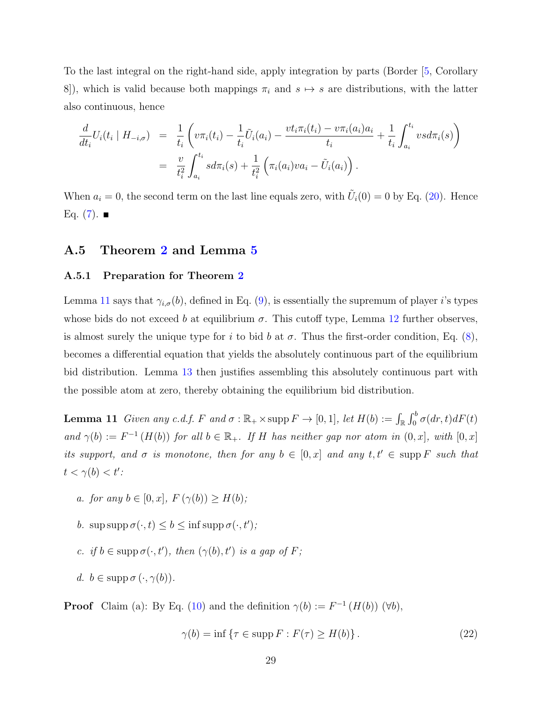To the last integral on the right-hand side, apply integration by parts (Border [\[5,](#page-42-11) Corollary 8]), which is valid because both mappings  $\pi_i$  and  $s \mapsto s$  are distributions, with the latter also continuous, hence

$$
\frac{d}{dt_i} U_i(t_i \mid H_{-i,\sigma}) = \frac{1}{t_i} \left( v \pi_i(t_i) - \frac{1}{t_i} \tilde{U}_i(a_i) - \frac{v t_i \pi_i(t_i) - v \pi_i(a_i) a_i}{t_i} + \frac{1}{t_i} \int_{a_i}^{t_i} v s d\pi_i(s) \right)
$$
\n
$$
= \frac{v}{t_i^2} \int_{a_i}^{t_i} s d\pi_i(s) + \frac{1}{t_i^2} \left( \pi_i(a_i) v a_i - \tilde{U}_i(a_i) \right).
$$

When  $a_i = 0$ , the second term on the last line equals zero, with  $\tilde{U}_i(0) = 0$  by Eq. [\(20\)](#page-27-2). Hence Eq.  $(7)$ .

### A.5 Theorem [2](#page-11-2) and Lemma [5](#page-11-3)

#### A.5.1 Preparation for Theorem [2](#page-11-2)

Lemma [11](#page-28-0) says that  $\gamma_{i,\sigma}(b)$ , defined in Eq. [\(9\)](#page-10-0), is essentially the supremum of player i's types whose bids do not exceed b at equilibrium  $\sigma$ . This cutoff type, Lemma [12](#page-29-0) further observes, is almost surely the unique type for i to bid b at  $\sigma$ . Thus the first-order condition, Eq. [\(8\)](#page-10-2), becomes a differential equation that yields the absolutely continuous part of the equilibrium bid distribution. Lemma [13](#page-30-0) then justifies assembling this absolutely continuous part with the possible atom at zero, thereby obtaining the equilibrium bid distribution.

<span id="page-28-0"></span>**Lemma 11** Given any c.d.f. F and  $\sigma : \mathbb{R}_+ \times \text{supp } F \to [0,1]$ , let  $H(b) := \int_{\mathbb{R}} \int_0^b \sigma(dr, t) dF(t)$ and  $\gamma(b) := F^{-1}(H(b))$  for all  $b \in \mathbb{R}_+$ . If H has neither gap nor atom in  $(0, x]$ , with  $[0, x]$ its support, and  $\sigma$  is monotone, then for any  $b \in [0, x]$  and any  $t, t' \in \text{supp } F$  such that  $t < \gamma(b) < t'$ :

- a. for any  $b \in [0, x]$ ,  $F(\gamma(b)) > H(b)$ ;
- b. sup supp  $\sigma(\cdot, t) \leq b \leq \inf \operatorname{supp} \sigma(\cdot, t')$ ;
- c. if  $b \in \text{supp }\sigma(\cdot,t'),$  then  $(\gamma(b), t')$  is a gap of F;
- d.  $b \in \text{supp }\sigma(\cdot, \gamma(b)).$

**Proof** Claim (a): By Eq. [\(10\)](#page-11-0) and the definition  $\gamma(b) := F^{-1}(H(b))$  ( $\forall b$ ),

<span id="page-28-1"></span>
$$
\gamma(b) = \inf \{ \tau \in \operatorname{supp} F : F(\tau) \ge H(b) \}.
$$
\n(22)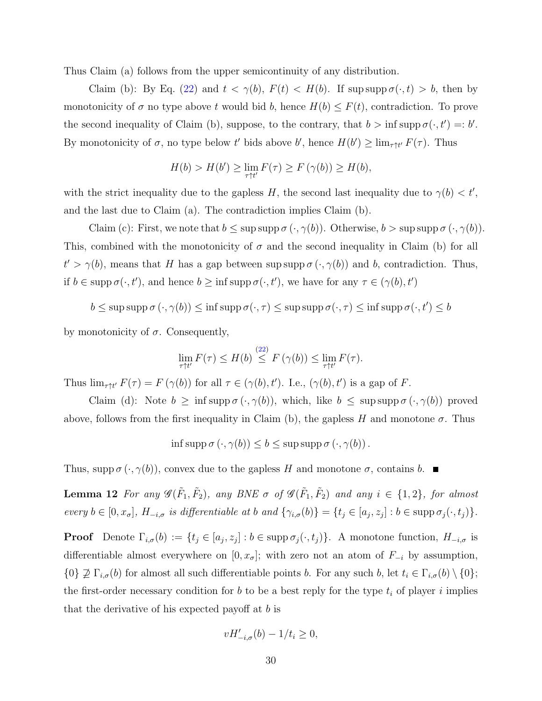Thus Claim (a) follows from the upper semicontinuity of any distribution.

Claim (b): By Eq. [\(22\)](#page-28-1) and  $t < \gamma(b)$ ,  $F(t) < H(b)$ . If sup supp  $\sigma(\cdot, t) > b$ , then by monotonicity of  $\sigma$  no type above t would bid b, hence  $H(b) \leq F(t)$ , contradiction. To prove the second inequality of Claim (b), suppose, to the contrary, that  $b > \inf \operatorname{supp} \sigma(\cdot, t') =: b'.$ By monotonicity of  $\sigma$ , no type below t' bids above b', hence  $H(b') \geq \lim_{\tau \uparrow t'} F(\tau)$ . Thus

$$
H(b) > H(b') \ge \lim_{\tau \uparrow t'} F(\tau) \ge F(\gamma(b)) \ge H(b),
$$

with the strict inequality due to the gapless H, the second last inequality due to  $\gamma(b) < t'$ , and the last due to Claim (a). The contradiction implies Claim (b).

Claim (c): First, we note that  $b \leq \sup \sup \sigma(\cdot, \gamma(b))$ . Otherwise,  $b > \sup \sup \sigma(\cdot, \gamma(b))$ . This, combined with the monotonicity of  $\sigma$  and the second inequality in Claim (b) for all  $t' > \gamma(b)$ , means that H has a gap between sup supp  $\sigma(\cdot, \gamma(b))$  and b, contradiction. Thus, if  $b \in \text{supp }\sigma(\cdot, t')$ , and hence  $b \geq \inf \text{supp }\sigma(\cdot, t')$ , we have for any  $\tau \in (\gamma(b), t')$ 

 $b \leq \sup \sup \sigma(\cdot, \gamma(b)) \leq \inf \sup \sigma(\cdot, \tau) \leq \sup \sup \sigma(\cdot, \tau) \leq \inf \sup \sigma(\cdot, t') \leq b$ 

by monotonicity of  $\sigma$ . Consequently,

$$
\lim_{\tau \uparrow t'} F(\tau) \le H(b) \stackrel{(22)}{\le} F(\gamma(b)) \le \lim_{\tau \uparrow t'} F(\tau).
$$

Thus  $\lim_{\tau \uparrow t'} F(\tau) = F(\gamma(b))$  for all  $\tau \in (\gamma(b), t')$ . I.e.,  $(\gamma(b), t')$  is a gap of F.

Claim (d): Note  $b \ge \inf \operatorname{supp} \sigma(\cdot, \gamma(b))$ , which, like  $b \le \sup \operatorname{supp} \sigma(\cdot, \gamma(b))$  proved above, follows from the first inequality in Claim (b), the gapless H and monotone  $\sigma$ . Thus

$$
\inf \operatorname{supp} \sigma \left( \cdot, \gamma(b) \right) \le b \le \operatorname{sup} \operatorname{supp} \sigma \left( \cdot, \gamma(b) \right).
$$

<span id="page-29-0"></span>Thus, supp  $\sigma(\cdot, \gamma(b))$ , convex due to the gapless H and monotone  $\sigma$ , contains b.

**Lemma 12** For any  $\mathscr{G}(\tilde{F}_1, \tilde{F}_2)$ , any BNE  $\sigma$  of  $\mathscr{G}(\tilde{F}_1, \tilde{F}_2)$  and any  $i \in \{1, 2\}$ , for almost every  $b \in [0, x_{\sigma}], H_{-i, \sigma}$  is differentiable at b and  $\{\gamma_{i,\sigma}(b)\} = \{t_j \in [a_j, z_j] : b \in \text{supp } \sigma_j(\cdot, t_j)\}.$ 

**Proof** Denote  $\Gamma_{i,\sigma}(b) := \{t_j \in [a_j, z_j] : b \in \text{supp }\sigma_j(\cdot, t_j)\}\.$  A monotone function,  $H_{-i,\sigma}$  is differentiable almost everywhere on  $[0, x_{\sigma}]$ ; with zero not an atom of  $F_{-i}$  by assumption,  $\{0\} \not\supseteq \Gamma_{i,\sigma}(b)$  for almost all such differentiable points b. For any such b, let  $t_i \in \Gamma_{i,\sigma}(b) \setminus \{0\};$ the first-order necessary condition for  $b$  to be a best reply for the type  $t_i$  of player i implies that the derivative of his expected payoff at  $b$  is

$$
vH'_{-i,\sigma}(b) - 1/t_i \ge 0,
$$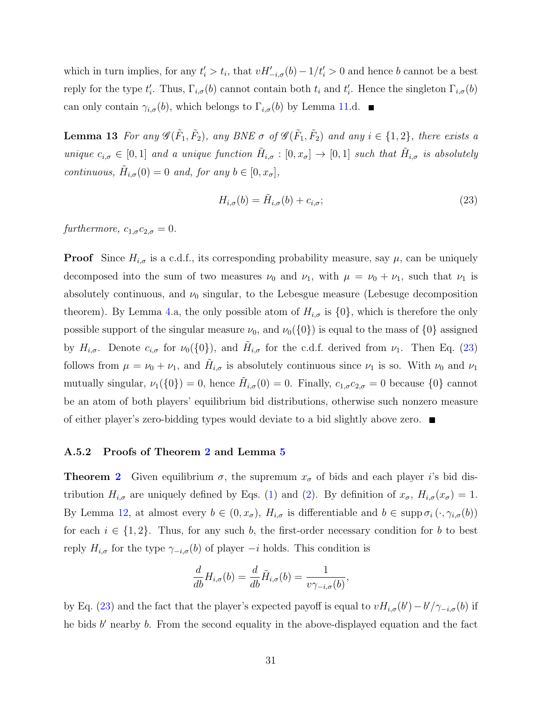which in turn implies, for any  $t'_{i} > t_{i}$ , that  $vH'_{-i,\sigma}(b) - 1/t'_{i} > 0$  and hence b cannot be a best reply for the type  $t'_i$ . Thus,  $\Gamma_{i,\sigma}(b)$  cannot contain both  $t_i$  and  $t'_i$ . Hence the singleton  $\Gamma_{i,\sigma}(b)$ can only contain  $\gamma_{i,\sigma}(b)$ , which belongs to  $\Gamma_{i,\sigma}(b)$  by Lemma [11.](#page-28-0)d.

<span id="page-30-0"></span>**Lemma 13** For any  $\mathscr{G}(\tilde{F}_1, \tilde{F}_2)$ , any BNE  $\sigma$  of  $\mathscr{G}(\tilde{F}_1, \tilde{F}_2)$  and any  $i \in \{1, 2\}$ , there exists a unique  $c_{i,\sigma} \in [0,1]$  and a unique function  $\tilde{H}_{i,\sigma} : [0, x_{\sigma}] \to [0,1]$  such that  $\tilde{H}_{i,\sigma}$  is absolutely continuous,  $\tilde{H}_{i,\sigma}(0) = 0$  and, for any  $b \in [0, x_{\sigma}],$ 

<span id="page-30-1"></span>
$$
H_{i,\sigma}(b) = \tilde{H}_{i,\sigma}(b) + c_{i,\sigma};\tag{23}
$$

furthermore,  $c_{1,\sigma}c_{2,\sigma}=0$ .

**Proof** Since  $H_{i,\sigma}$  is a c.d.f., its corresponding probability measure, say  $\mu$ , can be uniquely decomposed into the sum of two measures  $\nu_0$  and  $\nu_1$ , with  $\mu = \nu_0 + \nu_1$ , such that  $\nu_1$  is absolutely continuous, and  $\nu_0$  singular, to the Lebesgue measure (Lebesuge decomposition theorem). By Lemma [4.](#page-9-1)a, the only possible atom of  $H_{i,\sigma}$  is  $\{0\}$ , which is therefore the only possible support of the singular measure  $\nu_0$ , and  $\nu_0({0})$  is equal to the mass of  ${0}$  assigned by  $H_{i,\sigma}$ . Denote  $c_{i,\sigma}$  for  $\nu_0(\{0\})$ , and  $\tilde{H}_{i,\sigma}$  for the c.d.f. derived from  $\nu_1$ . Then Eq. [\(23\)](#page-30-1) follows from  $\mu = \nu_0 + \nu_1$ , and  $\tilde{H}_{i,\sigma}$  is absolutely continuous since  $\nu_1$  is so. With  $\nu_0$  and  $\nu_1$ mutually singular,  $\nu_1(\{0\}) = 0$ , hence  $\tilde{H}_{i,\sigma}(0) = 0$ . Finally,  $c_{1,\sigma}c_{2,\sigma} = 0$  because  $\{0\}$  cannot be an atom of both players' equilibrium bid distributions, otherwise such nonzero measure of either player's zero-bidding types would deviate to a bid slightly above zero.

#### A.5.2 Proofs of Theorem [2](#page-11-2) and Lemma [5](#page-11-3)

**Theorem [2](#page-11-2)** Given equilibrium  $\sigma$ , the supremum  $x_{\sigma}$  of bids and each player i's bid distribution  $H_{i,\sigma}$  are uniquely defined by Eqs. [\(1\)](#page-8-5) and [\(2\)](#page-8-5). By definition of  $x_{\sigma}$ ,  $H_{i,\sigma}(x_{\sigma}) = 1$ . By Lemma [12,](#page-29-0) at almost every  $b \in (0, x_{\sigma})$ ,  $H_{i,\sigma}$  is differentiable and  $b \in \text{supp } \sigma_i(\cdot, \gamma_{i,\sigma}(b))$ for each  $i \in \{1,2\}$ . Thus, for any such b, the first-order necessary condition for b to best reply  $H_{i,\sigma}$  for the type  $\gamma_{-i,\sigma}(b)$  of player  $-i$  holds. This condition is

$$
\frac{d}{db}H_{i,\sigma}(b) = \frac{d}{db}\tilde{H}_{i,\sigma}(b) = \frac{1}{\nu\gamma_{-i,\sigma}(b)},
$$

by Eq. [\(23\)](#page-30-1) and the fact that the player's expected payoff is equal to  $vH_{i,\sigma}(b') - b'/\gamma_{-i,\sigma}(b)$  if he bids  $b'$  nearby  $b$ . From the second equality in the above-displayed equation and the fact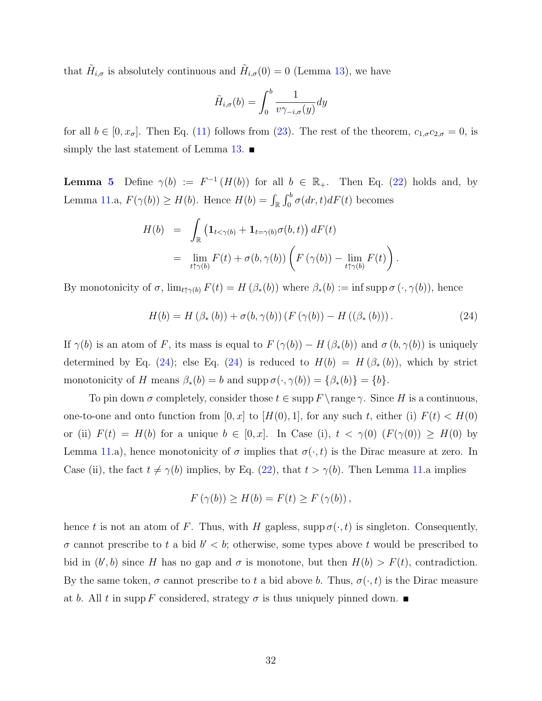that  $\tilde{H}_{i,\sigma}$  is absolutely continuous and  $\tilde{H}_{i,\sigma}(0) = 0$  (Lemma [13\)](#page-30-0), we have

$$
\tilde{H}_{i,\sigma}(b) = \int_0^b \frac{1}{v\gamma_{-i,\sigma}(y)} dy
$$

for all  $b \in [0, x_{\sigma}]$ . Then Eq. [\(11\)](#page-11-4) follows from [\(23\)](#page-30-1). The rest of the theorem,  $c_{1,\sigma}c_{2,\sigma} = 0$ , is simply the last statement of Lemma [13.](#page-30-0)  $\blacksquare$ 

**Lemma [5](#page-11-3)** Define  $\gamma(b) := F^{-1}(H(b))$  for all  $b \in \mathbb{R}_+$ . Then Eq. [\(22\)](#page-28-1) holds and, by Lemma [11.](#page-28-0)a,  $F(\gamma(b)) \ge H(b)$ . Hence  $H(b) = \int_{\mathbb{R}} \int_0^b \sigma(dr, t) dF(t)$  becomes

$$
H(b) = \int_{\mathbb{R}} \left( \mathbf{1}_{t < \gamma(b)} + \mathbf{1}_{t = \gamma(b)} \sigma(b, t) \right) dF(t)
$$
  
= 
$$
\lim_{t \uparrow \gamma(b)} F(t) + \sigma(b, \gamma(b)) \left( F(\gamma(b)) - \lim_{t \uparrow \gamma(b)} F(t) \right).
$$

By monotonicity of  $\sigma$ ,  $\lim_{t\uparrow \gamma(b)} F(t) = H(\beta_*(b))$  where  $\beta_*(b) := \inf \text{supp } \sigma(\cdot, \gamma(b))$ , hence

<span id="page-31-0"></span>
$$
H(b) = H(\beta_*(b)) + \sigma(b, \gamma(b)) (F(\gamma(b)) - H((\beta_*(b))). \qquad (24)
$$

If  $\gamma(b)$  is an atom of F, its mass is equal to  $F(\gamma(b)) - H(\beta_*(b))$  and  $\sigma(b, \gamma(b))$  is uniquely determined by Eq. [\(24\)](#page-31-0); else Eq. (24) is reduced to  $H(b) = H(\beta_*(b))$ , which by strict monotonicity of H means  $\beta_*(b) = b$  and supp  $\sigma(\cdot, \gamma(b)) = {\beta_*(b)} = {b}.$ 

To pin down  $\sigma$  completely, consider those  $t \in \text{supp } F \setminus \text{range } \gamma$ . Since H is a continuous, one-to-one and onto function from  $[0, x]$  to  $[H(0), 1]$ , for any such t, either (i)  $F(t) < H(0)$ or (ii)  $F(t) = H(b)$  for a unique  $b \in [0, x]$ . In Case (i),  $t < \gamma(0)$   $(F(\gamma(0)) \geq H(0)$  by Lemma [11.](#page-28-0)a), hence monotonicity of  $\sigma$  implies that  $\sigma(\cdot, t)$  is the Dirac measure at zero. In Case (ii), the fact  $t \neq \gamma(b)$  implies, by Eq. [\(22\)](#page-28-1), that  $t > \gamma(b)$ . Then Lemma [11.](#page-28-0)a implies

$$
F(\gamma(b)) \ge H(b) = F(t) \ge F(\gamma(b)),
$$

hence t is not an atom of F. Thus, with H gapless, supp  $\sigma(\cdot, t)$  is singleton. Consequently,  $\sigma$  cannot prescribe to t a bid  $b' < b$ ; otherwise, some types above t would be prescribed to bid in  $(b', b)$  since H has no gap and  $\sigma$  is monotone, but then  $H(b) > F(t)$ , contradiction. By the same token,  $\sigma$  cannot prescribe to t a bid above b. Thus,  $\sigma(\cdot, t)$  is the Dirac measure at b. All t in supp F considered, strategy  $\sigma$  is thus uniquely pinned down.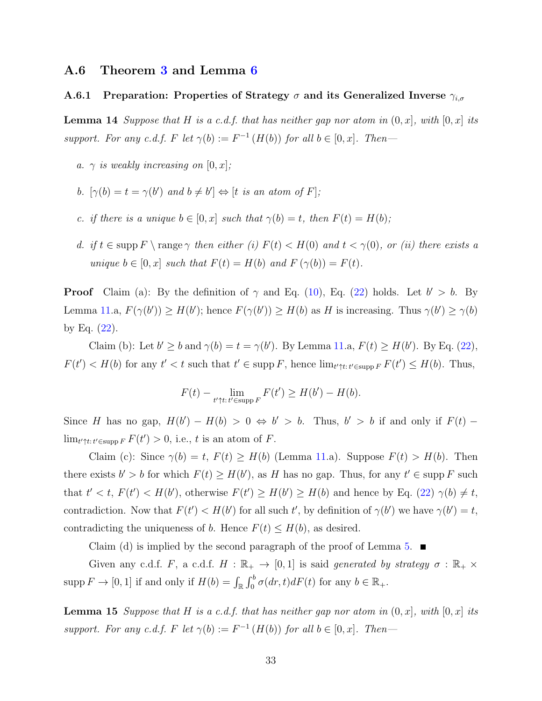### A.6 Theorem [3](#page-12-0) and Lemma [6](#page-13-1)

### <span id="page-32-0"></span>A.6.1 Preparation: Properties of Strategy  $\sigma$  and its Generalized Inverse  $\gamma_{i,\sigma}$

<span id="page-32-1"></span>**Lemma 14** Suppose that H is a c.d.f. that has neither gap nor atom in  $(0, x]$ , with  $[0, x]$  its support. For any c.d.f. F let  $\gamma(b) := F^{-1}(H(b))$  for all  $b \in [0, x]$ . Then-

- a.  $\gamma$  is weakly increasing on [0, x];
- b.  $[\gamma(b) = t = \gamma(b') \text{ and } b \neq b'] \Leftrightarrow [t \text{ is an atom of } F];$
- c. if there is a unique  $b \in [0, x]$  such that  $\gamma(b) = t$ , then  $F(t) = H(b)$ ;
- d. if  $t \in \text{supp } F \setminus \text{range } \gamma$  then either (i)  $F(t) < H(0)$  and  $t < \gamma(0)$ , or (ii) there exists a unique  $b \in [0, x]$  such that  $F(t) = H(b)$  and  $F(\gamma(b)) = F(t)$ .

**Proof** Claim (a): By the definition of  $\gamma$  and Eq. [\(10\)](#page-11-0), Eq. [\(22\)](#page-28-1) holds. Let  $b' > b$ . By Lemma [11.](#page-28-0)a,  $F(\gamma(b')) \ge H(b')$ ; hence  $F(\gamma(b')) \ge H(b)$  as H is increasing. Thus  $\gamma(b') \ge \gamma(b)$ by Eq.  $(22)$ .

Claim (b): Let  $b' \ge b$  and  $\gamma(b) = t = \gamma(b')$ . By Lemma [11.](#page-28-0)a,  $F(t) \ge H(b')$ . By Eq. [\(22\)](#page-28-1),  $F(t') < H(b)$  for any  $t' < t$  such that  $t' \in \text{supp } F$ , hence  $\lim_{t' \uparrow t: t' \in \text{supp } F} F(t') \leq H(b)$ . Thus,

$$
F(t) - \lim_{t' \uparrow t: t' \in \text{supp } F} F(t') \ge H(b') - H(b).
$$

Since H has no gap,  $H(b') - H(b) > 0 \Leftrightarrow b' > b$ . Thus,  $b' > b$  if and only if  $F(t)$  $\lim_{t' \uparrow t: t' \in \text{supp } F} F(t') > 0$ , i.e., t is an atom of F.

Claim (c): Since  $\gamma(b) = t$ ,  $F(t) \geq H(b)$  (Lemma [11.](#page-28-0)a). Suppose  $F(t) > H(b)$ . Then there exists  $b' > b$  for which  $F(t) \geq H(b')$ , as H has no gap. Thus, for any  $t' \in \text{supp } F$  such that  $t' < t$ ,  $F(t') < H(b')$ , otherwise  $F(t') \geq H(b') \geq H(b)$  and hence by Eq. [\(22\)](#page-28-1)  $\gamma(b) \neq t$ , contradiction. Now that  $F(t') < H(b')$  for all such t', by definition of  $\gamma(b')$  we have  $\gamma(b') = t$ , contradicting the uniqueness of b. Hence  $F(t) \leq H(b)$ , as desired.

Claim (d) is implied by the second paragraph of the proof of Lemma [5.](#page-11-3)  $\blacksquare$ 

Given any c.d.f. F, a c.d.f.  $H : \mathbb{R}_+ \to [0,1]$  is said generated by strategy  $\sigma : \mathbb{R}_+ \times$  $\text{supp } F \to [0,1]$  if and only if  $H(b) = \int_{\mathbb{R}} \int_0^b \sigma(dr, t) dF(t)$  for any  $b \in \mathbb{R}_+$ .

<span id="page-32-2"></span>**Lemma 15** Suppose that H is a c.d.f. that has neither gap nor atom in  $(0, x]$ , with  $[0, x]$  its support. For any c.d.f. F let  $\gamma(b) := F^{-1}(H(b))$  for all  $b \in [0, x]$ . Then-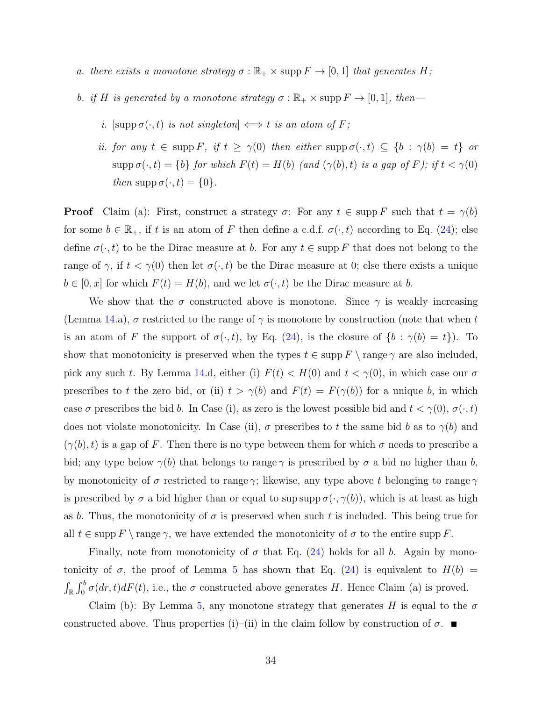- a. there exists a monotone strategy  $\sigma : \mathbb{R}_+ \times \text{supp } F \to [0,1]$  that generates H;
- b. if H is generated by a monotone strategy  $\sigma : \mathbb{R}_+ \times \text{supp } F \to [0,1]$ , then
	- i. [supp  $\sigma(\cdot, t)$  is not singleton]  $\iff t$  is an atom of F;
	- ii. for any  $t \in \text{supp } F$ , if  $t \ge \gamma(0)$  then either  $\text{supp }\sigma(\cdot,t) \subseteq \{b : \gamma(b) = t\}$  or  $\text{supp }\sigma(\cdot,t)=\{b\}$  for which  $F(t)=H(b)$  (and  $(\gamma(b),t)$  is a gap of F); if  $t<\gamma(0)$ then supp  $\sigma(\cdot, t) = \{0\}.$

**Proof** Claim (a): First, construct a strategy  $\sigma$ : For any  $t \in \text{supp } F$  such that  $t = \gamma(b)$ for some  $b \in \mathbb{R}_+$ , if t is an atom of F then define a c.d.f.  $\sigma(\cdot, t)$  according to Eq. [\(24\)](#page-31-0); else define  $\sigma(\cdot, t)$  to be the Dirac measure at b. For any  $t \in \text{supp } F$  that does not belong to the range of  $\gamma$ , if  $t < \gamma(0)$  then let  $\sigma(\cdot, t)$  be the Dirac measure at 0; else there exists a unique  $b \in [0, x]$  for which  $F(t) = H(b)$ , and we let  $\sigma(\cdot, t)$  be the Dirac measure at b.

We show that the  $\sigma$  constructed above is monotone. Since  $\gamma$  is weakly increasing (Lemma [14.](#page-32-1)a),  $\sigma$  restricted to the range of  $\gamma$  is monotone by construction (note that when t is an atom of F the support of  $\sigma(\cdot, t)$ , by Eq. [\(24\)](#page-31-0), is the closure of  $\{b : \gamma(b) = t\}$ . To show that monotonicity is preserved when the types  $t \in \text{supp } F \setminus \text{range } \gamma$  are also included, pick any such t. By Lemma [14.](#page-32-1)d, either (i)  $F(t) < H(0)$  and  $t < \gamma(0)$ , in which case our  $\sigma$ prescribes to t the zero bid, or (ii)  $t > \gamma(b)$  and  $F(t) = F(\gamma(b))$  for a unique b, in which case  $\sigma$  prescribes the bid b. In Case (i), as zero is the lowest possible bid and  $t < \gamma(0)$ ,  $\sigma(\cdot, t)$ does not violate monotonicity. In Case (ii),  $\sigma$  prescribes to t the same bid b as to  $\gamma(b)$  and  $(\gamma(b), t)$  is a gap of F. Then there is no type between them for which  $\sigma$  needs to prescribe a bid; any type below  $\gamma(b)$  that belongs to range  $\gamma$  is prescribed by  $\sigma$  a bid no higher than b, by monotonicity of  $\sigma$  restricted to range  $\gamma$ ; likewise, any type above t belonging to range  $\gamma$ is prescribed by  $\sigma$  a bid higher than or equal to sup supp  $\sigma(\cdot, \gamma(b))$ , which is at least as high as b. Thus, the monotonicity of  $\sigma$  is preserved when such t is included. This being true for all  $t \in \text{supp } F \setminus \text{range } \gamma$ , we have extended the monotonicity of  $\sigma$  to the entire supp F.

Finally, note from monotonicity of  $\sigma$  that Eq. [\(24\)](#page-31-0) holds for all b. Again by monotonicity of  $\sigma$ , the proof of Lemma [5](#page-11-3) has shown that Eq. [\(24\)](#page-31-0) is equivalent to  $H(b)$  =  $\int_{\mathbb{R}} \int_0^b \sigma(dr, t) dF(t)$ , i.e., the  $\sigma$  constructed above generates H. Hence Claim (a) is proved.

Claim (b): By Lemma [5,](#page-11-3) any monotone strategy that generates H is equal to the  $\sigma$ constructed above. Thus properties (i)–(ii) in the claim follow by construction of  $\sigma$ .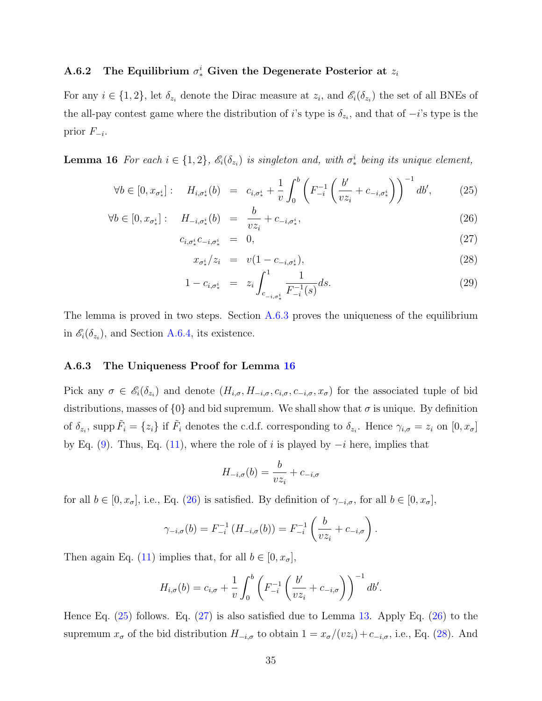### A.6.2 The Equilibrium  $\sigma_*^i$  Given the Degenerate Posterior at  $z_i$

For any  $i \in \{1,2\}$ , let  $\delta_{z_i}$  denote the Dirac measure at  $z_i$ , and  $\mathscr{E}_i(\delta_{z_i})$  the set of all BNEs of the all-pay contest game where the distribution of i's type is  $\delta_{z_i}$ , and that of  $-i$ 's type is the prior  $F_{-i}$ .

<span id="page-34-2"></span>**Lemma 16** For each  $i \in \{1,2\}$ ,  $\mathscr{E}_i(\delta_{z_i})$  is singleton and, with  $\sigma_*^i$  being its unique element,

<span id="page-34-0"></span>
$$
\forall b \in [0, x_{\sigma_*^i}] : \quad H_{i, \sigma_*^i}(b) = c_{i, \sigma_*^i} + \frac{1}{v} \int_0^b \left( F_{-i}^{-1} \left( \frac{b'}{v z_i} + c_{-i, \sigma_*^i} \right) \right)^{-1} db', \tag{25}
$$

$$
\forall b \in [0, x_{\sigma_*^i}] : \quad H_{-i, \sigma_*^i}(b) = \frac{b}{v z_i} + c_{-i, \sigma_*^i}, \tag{26}
$$

$$
c_{i, \sigma_*^i} c_{-i, \sigma_*^i} = 0, \tag{27}
$$

$$
x_{\sigma_*^i}/z_i = v(1 - c_{-i, \sigma_*^i}), \tag{28}
$$

$$
1 - c_{i, \sigma_*^i} = z_i \int_{c_{-i, \sigma_*^i}}^1 \frac{1}{F_{-i}^{-1}(s)} ds.
$$
 (29)

The lemma is proved in two steps. Section [A.6.3](#page-34-1) proves the uniqueness of the equilibrium in  $\mathscr{E}_i(\delta_{z_i})$ , and Section [A.6.4,](#page-35-0) its existence.

#### <span id="page-34-1"></span>A.6.3 The Uniqueness Proof for Lemma [16](#page-34-2)

Pick any  $\sigma \in \mathscr{E}_i(\delta_{z_i})$  and denote  $(H_{i,\sigma}, H_{-i,\sigma}, c_{i,\sigma}, c_{-i,\sigma}, x_{\sigma})$  for the associated tuple of bid distributions, masses of  $\{0\}$  and bid supremum. We shall show that  $\sigma$  is unique. By definition of  $\delta_{z_i}$ , supp  $\tilde{F}_i = \{z_i\}$  if  $\tilde{F}_i$  denotes the c.d.f. corresponding to  $\delta_{z_i}$ . Hence  $\gamma_{i,\sigma} = z_i$  on  $[0, x_{\sigma}]$ by Eq. [\(9\)](#page-10-0). Thus, Eq. [\(11\)](#page-11-4), where the role of i is played by  $-i$  here, implies that

$$
H_{-i,\sigma}(b) = \frac{b}{v z_i} + c_{-i,\sigma}
$$

for all  $b \in [0, x_{\sigma}],$  i.e., Eq. [\(26\)](#page-34-0) is satisfied. By definition of  $\gamma_{-i,\sigma}$ , for all  $b \in [0, x_{\sigma}],$ 

$$
\gamma_{-i,\sigma}(b) = F_{-i}^{-1} (H_{-i,\sigma}(b)) = F_{-i}^{-1} \left( \frac{b}{v z_i} + c_{-i,\sigma} \right).
$$

Then again Eq. [\(11\)](#page-11-4) implies that, for all  $b \in [0, x_{\sigma}],$ 

$$
H_{i,\sigma}(b) = c_{i,\sigma} + \frac{1}{v} \int_0^b \left( F_{-i}^{-1} \left( \frac{b'}{v z_i} + c_{-i,\sigma} \right) \right)^{-1} db'.
$$

Hence Eq. [\(25\)](#page-34-0) follows. Eq. [\(27\)](#page-34-0) is also satisfied due to Lemma [13.](#page-30-0) Apply Eq. [\(26\)](#page-34-0) to the supremum  $x_{\sigma}$  of the bid distribution  $H_{-i,\sigma}$  to obtain  $1 = x_{\sigma}/(vz_i) + c_{-i,\sigma}$ , i.e., Eq. [\(28\)](#page-34-0). And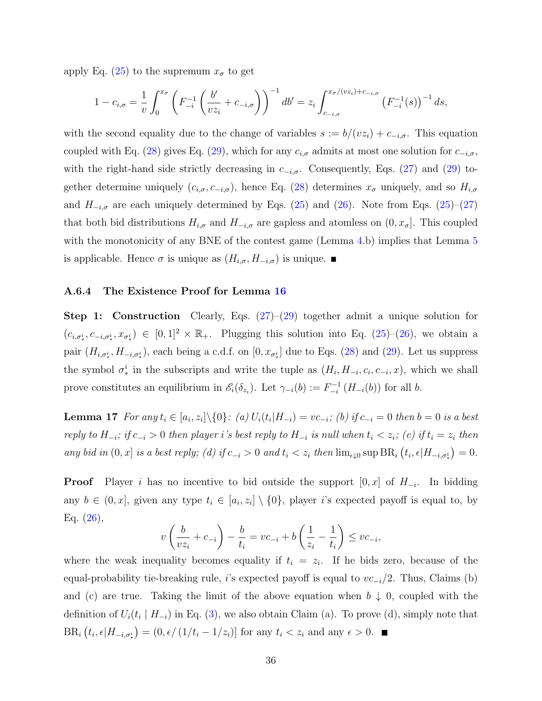apply Eq. [\(25\)](#page-34-0) to the supremum  $x_{\sigma}$  to get

$$
1 - c_{i,\sigma} = \frac{1}{v} \int_0^{x_{\sigma}} \left( F_{-i}^{-1} \left( \frac{b'}{v z_i} + c_{-i,\sigma} \right) \right)^{-1} db' = z_i \int_{c_{-i,\sigma}}^{x_{\sigma}/(v z_i) + c_{-i,\sigma}} \left( F_{-i}^{-1}(s) \right)^{-1} ds,
$$

with the second equality due to the change of variables  $s := b/(vz_i) + c_{-i,\sigma}$ . This equation coupled with Eq. [\(28\)](#page-34-0) gives Eq. [\(29\)](#page-34-0), which for any  $c_{i,\sigma}$  admits at most one solution for  $c_{-i,\sigma}$ , with the right-hand side strictly decreasing in  $c_{-i,\sigma}$ . Consequently, Eqs. [\(27\)](#page-34-0) and [\(29\)](#page-34-0) together determine uniquely  $(c_{i,\sigma}, c_{-i,\sigma})$ , hence Eq. [\(28\)](#page-34-0) determines  $x_{\sigma}$  uniquely, and so  $H_{i,\sigma}$ and  $H_{-i,\sigma}$  are each uniquely determined by Eqs. [\(25\)](#page-34-0) and [\(26\)](#page-34-0). Note from Eqs. (25)–[\(27\)](#page-34-0) that both bid distributions  $H_{i,\sigma}$  and  $H_{-i,\sigma}$  are gapless and atomless on  $(0, x_{\sigma}]$ . This coupled with the monotonicity of any BNE of the contest game (Lemma [4.](#page-9-1)b) implies that Lemma [5](#page-11-3) is applicable. Hence  $\sigma$  is unique as  $(H_{i,\sigma}, H_{-i,\sigma})$  is unique.

#### <span id="page-35-0"></span>A.6.4 The Existence Proof for Lemma [16](#page-34-2)

**Step 1: Construction** Clearly, Eqs.  $(27)-(29)$  $(27)-(29)$  together admit a unique solution for  $(c_{i,\sigma_i}, c_{-i,\sigma_i}, x_{\sigma_i}) \in [0,1]^2 \times \mathbb{R}_+$ . Plugging this solution into Eq. [\(25\)](#page-34-0)–[\(26\)](#page-34-0), we obtain a pair  $(H_{i,\sigma^i_*}, H_{-i,\sigma^i_*})$ , each being a c.d.f. on  $[0, x_{\sigma^i_*}]$  due to Eqs. [\(28\)](#page-34-0) and [\(29\)](#page-34-0). Let us suppress the symbol  $\sigma_*^i$  in the subscripts and write the tuple as  $(H_i, H_{-i}, c_i, c_{-i}, x)$ , which we shall prove constitutes an equilibrium in  $\mathscr{E}_i(\delta_{z_i})$ . Let  $\gamma_{-i}(b) := F_{-i}^{-1}$  $\int_{-i}^{i-1} (H_{-i}(b))$  for all b.

<span id="page-35-1"></span>**Lemma 17** For any  $t_i \in [a_i, z_i] \setminus \{0\}$ : (a)  $U_i(t_i | H_{-i}) = vc_{-i}$ ; (b) if  $c_{-i} = 0$  then  $b = 0$  is a best reply to  $H_{-i}$ ; if  $c_{-i} > 0$  then player i's best reply to  $H_{-i}$  is null when  $t_i < z_i$ ; (c) if  $t_i = z_i$  then any bid in  $(0, x]$  is a best reply; (d) if  $c_{-i} > 0$  and  $t_i < z_i$  then  $\lim_{\epsilon \downarrow 0} \sup BR_i (t_i, \epsilon | H_{-i, \sigma_i^i}) = 0$ .

**Proof** Player i has no incentive to bid outside the support  $[0, x]$  of  $H_{-i}$ . In bidding any  $b \in (0, x]$ , given any type  $t_i \in [a_i, z_i] \setminus \{0\}$ , player i's expected payoff is equal to, by Eq. [\(26\)](#page-34-0),

$$
v\left(\frac{b}{v z_i} + c_{-i}\right) - \frac{b}{t_i} = v c_{-i} + b\left(\frac{1}{z_i} - \frac{1}{t_i}\right) \le v c_{-i},
$$

<span id="page-35-2"></span>where the weak inequality becomes equality if  $t_i = z_i$ . If he bids zero, because of the equal-probability tie-breaking rule, i's expected payoff is equal to  $vc_{-i}/2$ . Thus, Claims (b) and (c) are true. Taking the limit of the above equation when  $b \downarrow 0$ , coupled with the definition of  $U_i(t_i \mid H_{-i})$  in Eq. [\(3\)](#page-8-1), we also obtain Claim (a). To prove (d), simply note that  $BR_i\left(t_i, \epsilon | H_{-i,\sigma_*^i}\right) = \left(0, \epsilon / \left(1/t_i - 1/z_i\right)\right]$  for any  $t_i < z_i$  and any  $\epsilon > 0$ .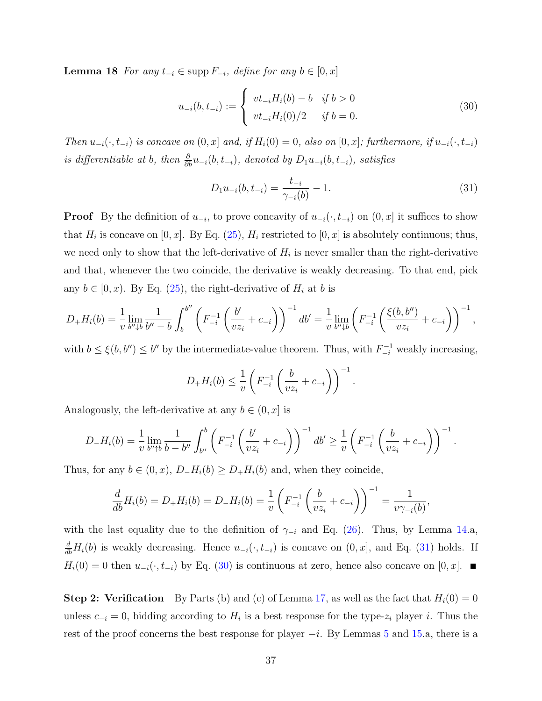**Lemma 18** For any  $t_{-i} \in \text{supp } F_{-i}$ , define for any  $b \in [0, x]$ 

<span id="page-36-1"></span>
$$
u_{-i}(b, t_{-i}) := \begin{cases} vt_{-i}H_i(b) - b & \text{if } b > 0\\ vt_{-i}H_i(0)/2 & \text{if } b = 0. \end{cases}
$$
 (30)

Then  $u_{-i}(\cdot, t_{-i})$  is concave on  $(0, x]$  and, if  $H_i(0) = 0$ , also on  $[0, x]$ ; furthermore, if  $u_{-i}(\cdot, t_{-i})$ is differentiable at b, then  $\frac{\partial}{\partial b}u_{-i}(b, t_{-i})$ , denoted by  $D_1u_{-i}(b, t_{-i})$ , satisfies

<span id="page-36-0"></span>
$$
D_1 u_{-i}(b, t_{-i}) = \frac{t_{-i}}{\gamma_{-i}(b)} - 1.
$$
\n(31)

**Proof** By the definition of  $u_{-i}$ , to prove concavity of  $u_{-i}(\cdot, t_{-i})$  on  $(0, x]$  it suffices to show that  $H_i$  is concave on [0, x]. By Eq. [\(25\)](#page-34-0),  $H_i$  restricted to [0, x] is absolutely continuous; thus, we need only to show that the left-derivative of  $H_i$  is never smaller than the right-derivative and that, whenever the two coincide, the derivative is weakly decreasing. To that end, pick any  $b \in [0, x)$ . By Eq. [\(25\)](#page-34-0), the right-derivative of  $H_i$  at b is

$$
D_{+}H_{i}(b) = \frac{1}{v} \lim_{b'' \downarrow b} \frac{1}{b'' - b} \int_{b}^{b''} \left( F_{-i}^{-1} \left( \frac{b'}{v z_{i}} + c_{-i} \right) \right)^{-1} db' = \frac{1}{v} \lim_{b'' \downarrow b} \left( F_{-i}^{-1} \left( \frac{\xi(b, b'')}{v z_{i}} + c_{-i} \right) \right)^{-1},
$$

with  $b \leq \xi(b, b'') \leq b''$  by the intermediate-value theorem. Thus, with  $F_{-i}^{-1}$  weakly increasing,

$$
D_{+}H_{i}(b) \leq \frac{1}{v} \left( F_{-i}^{-1} \left( \frac{b}{v z_{i}} + c_{-i} \right) \right)^{-1}.
$$

Analogously, the left-derivative at any  $b \in (0, x]$  is

$$
D_{-}H_{i}(b) = \frac{1}{v} \lim_{b'' \uparrow b} \frac{1}{b - b''} \int_{b''}^{b} \left( F_{-i}^{-1} \left( \frac{b'}{v z_{i}} + c_{-i} \right) \right)^{-1} db' \geq \frac{1}{v} \left( F_{-i}^{-1} \left( \frac{b}{v z_{i}} + c_{-i} \right) \right)^{-1}.
$$

Thus, for any  $b \in (0, x)$ ,  $D_{-}H_i(b) \ge D_{+}H_i(b)$  and, when they coincide,

$$
\frac{d}{db}H_i(b) = D_+H_i(b) = D_-H_i(b) = \frac{1}{v}\left(F_{-i}^{-1}\left(\frac{b}{vz_i} + c_{-i}\right)\right)^{-1} = \frac{1}{v\gamma_{-i}(b)},
$$

with the last equality due to the definition of  $\gamma_{-i}$  and Eq. [\(26\)](#page-34-0). Thus, by Lemma [14.](#page-32-1)a,  $\frac{d}{db}H_i(b)$  is weakly decreasing. Hence  $u_{-i}(\cdot, t_{-i})$  is concave on  $(0, x]$ , and Eq. [\(31\)](#page-36-0) holds. If  $H_i(0) = 0$  then  $u_{-i}(\cdot, t_{-i})$  by Eq. [\(30\)](#page-36-1) is continuous at zero, hence also concave on [0, x]. ■

**Step 2: Verification** By Parts (b) and (c) of Lemma [17,](#page-35-1) as well as the fact that  $H_i(0) = 0$ unless  $c_{-i} = 0$ , bidding according to  $H_i$  is a best response for the type- $z_i$  player i. Thus the rest of the proof concerns the best response for player  $-i$ . By Lemmas [5](#page-11-3) and [15.](#page-32-2)a, there is a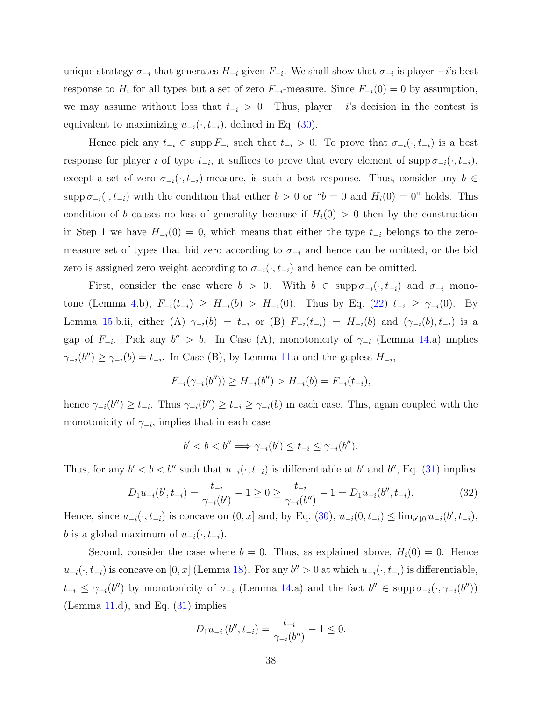unique strategy  $\sigma_{-i}$  that generates  $H_{-i}$  given  $F_{-i}$ . We shall show that  $\sigma_{-i}$  is player  $-i$ 's best response to  $H_i$  for all types but a set of zero  $F_{-i}$ -measure. Since  $F_{-i}(0) = 0$  by assumption, we may assume without loss that  $t_{-i} > 0$ . Thus, player  $-i$ 's decision in the contest is equivalent to maximizing  $u_{-i}(\cdot, t_{-i})$ , defined in Eq. [\(30\)](#page-36-1).

Hence pick any  $t_{-i} \in \text{supp } F_{-i}$  such that  $t_{-i} > 0$ . To prove that  $\sigma_{-i}(\cdot, t_{-i})$  is a best response for player i of type  $t_{-i}$ , it suffices to prove that every element of supp  $\sigma_{-i}(\cdot, t_{-i})$ , except a set of zero  $\sigma_{-i}(\cdot, t_{-i})$ -measure, is such a best response. Thus, consider any  $b \in$ supp  $\sigma_{-i}(\cdot, t_{-i})$  with the condition that either  $b > 0$  or " $b = 0$  and  $H_i(0) = 0$ " holds. This condition of b causes no loss of generality because if  $H_i(0) > 0$  then by the construction in Step 1 we have  $H_{-i}(0) = 0$ , which means that either the type  $t_{-i}$  belongs to the zeromeasure set of types that bid zero according to  $\sigma_{-i}$  and hence can be omitted, or the bid zero is assigned zero weight according to  $\sigma_{-i}(\cdot, t_{-i})$  and hence can be omitted.

First, consider the case where  $b > 0$ . With  $b \in \text{supp } \sigma_{-i}(\cdot, t_{-i})$  and  $\sigma_{-i}$  mono-tone (Lemma [4.](#page-9-1)b),  $F_{-i}(t_{-i}) \geq H_{-i}(b) > H_{-i}(0)$ . Thus by Eq. [\(22\)](#page-28-1)  $t_{-i} \geq \gamma_{-i}(0)$ . By Lemma [15.](#page-32-2)b.ii, either (A)  $\gamma_{-i}(b) = t_{-i}$  or (B)  $F_{-i}(t_{-i}) = H_{-i}(b)$  and  $(\gamma_{-i}(b), t_{-i})$  is a gap of  $F_{-i}$ . Pick any  $b'' > b$ . In Case (A), monotonicity of  $\gamma_{-i}$  (Lemma [14.](#page-32-1)a) implies  $\gamma_{-i}(b'') \geq \gamma_{-i}(b) = t_{-i}$ . In Case (B), by Lemma [11.](#page-28-0)a and the gapless  $H_{-i}$ ,

$$
F_{-i}(\gamma_{-i}(b'')) \ge H_{-i}(b'') > H_{-i}(b) = F_{-i}(t_{-i}),
$$

hence  $\gamma_{-i}(b'') \geq t_{-i}$ . Thus  $\gamma_{-i}(b'') \geq t_{-i} \geq \gamma_{-i}(b)$  in each case. This, again coupled with the monotonicity of  $\gamma_{-i}$ , implies that in each case

$$
b' < b < b'' \Longrightarrow \gamma_{-i}(b') \le t_{-i} \le \gamma_{-i}(b'').
$$

Thus, for any  $b' < b < b''$  such that  $u_{-i}(\cdot, t_{-i})$  is differentiable at b' and b'', Eq. [\(31\)](#page-36-0) implies

$$
D_1 u_{-i}(b', t_{-i}) = \frac{t_{-i}}{\gamma_{-i}(b')} - 1 \ge 0 \ge \frac{t_{-i}}{\gamma_{-i}(b'')} - 1 = D_1 u_{-i}(b'', t_{-i}).
$$
\n(32)

Hence, since  $u_{-i}(\cdot, t_{-i})$  is concave on  $(0, x]$  and, by Eq.  $(30)$ ,  $u_{-i}(0, t_{-i}) \le \lim_{b \to 0} u_{-i}(b', t_{-i})$ , b is a global maximum of  $u_{-i}(\cdot, t_{-i})$ .

Second, consider the case where  $b = 0$ . Thus, as explained above,  $H_i(0) = 0$ . Hence  $u_{-i}(\cdot, t_{-i})$  is concave on [0, x] (Lemma [18\)](#page-35-2). For any  $b'' > 0$  at which  $u_{-i}(\cdot, t_{-i})$  is differentiable,  $t_{-i} \leq \gamma_{-i}(b'')$  by monotonicity of  $\sigma_{-i}$  (Lemma [14.](#page-32-1)a) and the fact  $b'' \in \text{supp } \sigma_{-i}(\cdot, \gamma_{-i}(b''))$ (Lemma  $11.d$  $11.d$ ), and Eq.  $(31)$  implies

$$
D_1 u_{-i} (b'', t_{-i}) = \frac{t_{-i}}{\gamma_{-i}(b'')} - 1 \le 0.
$$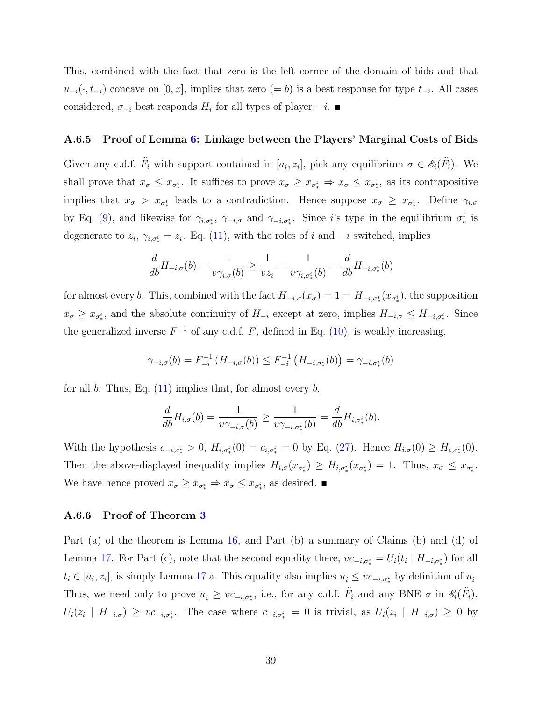This, combined with the fact that zero is the left corner of the domain of bids and that  $u_{-i}(\cdot, t_{-i})$  concave on  $[0, x]$ , implies that zero  $(= b)$  is a best response for type  $t_{-i}$ . All cases considered,  $\sigma_{-i}$  best responds  $H_i$  for all types of player  $-i$ .

#### A.6.5 Proof of Lemma [6:](#page-13-1) Linkage between the Players' Marginal Costs of Bids

Given any c.d.f.  $\tilde{F}_i$  with support contained in  $[a_i, z_i]$ , pick any equilibrium  $\sigma \in \mathscr{E}_i(\tilde{F}_i)$ . We shall prove that  $x_{\sigma} \leq x_{\sigma_*^i}$ . It suffices to prove  $x_{\sigma} \geq x_{\sigma_*^i} \Rightarrow x_{\sigma} \leq x_{\sigma_*^i}$ , as its contrapositive implies that  $x_{\sigma} > x_{\sigma_*^i}$  leads to a contradiction. Hence suppose  $x_{\sigma} \geq x_{\sigma_*^i}$ . Define  $\gamma_{i,\sigma}$ by Eq. [\(9\)](#page-10-0), and likewise for  $\gamma_{i,\sigma_i^i}$ ,  $\gamma_{-i,\sigma}$  and  $\gamma_{-i,\sigma_i^i}$ . Since i's type in the equilibrium  $\sigma_i^i$  is degenerate to  $z_i$ ,  $\gamma_{i,\sigma^i_*} = z_i$ . Eq. [\(11\)](#page-11-4), with the roles of i and  $-i$  switched, implies

$$
\frac{d}{db}H_{-i,\sigma}(b) = \frac{1}{\nu \gamma_{i,\sigma}(b)} \ge \frac{1}{\nu z_i} = \frac{1}{\nu \gamma_{i,\sigma_*^i}(b)} = \frac{d}{db}H_{-i,\sigma_*^i}(b)
$$

for almost every b. This, combined with the fact  $H_{-i,\sigma}(x_{\sigma}) = 1 = H_{-i,\sigma^i_*}(x_{\sigma^i_*})$ , the supposition  $x_{\sigma} \geq x_{\sigma_*^i}$ , and the absolute continuity of  $H_{-i}$  except at zero, implies  $H_{-i,\sigma} \leq H_{-i,\sigma_*^i}$ . Since the generalized inverse  $F^{-1}$  of any c.d.f. F, defined in Eq. [\(10\)](#page-11-0), is weakly increasing,

$$
\gamma_{-i,\sigma}(b) = F_{-i}^{-1}(H_{-i,\sigma}(b)) \leq F_{-i}^{-1}(H_{-i,\sigma_*^i}(b)) = \gamma_{-i,\sigma_*^i}(b)
$$

for all b. Thus, Eq.  $(11)$  implies that, for almost every b,

$$
\frac{d}{db}H_{i,\sigma}(b)=\frac{1}{\upsilon\gamma_{-i,\sigma}(b)}\geq \frac{1}{\upsilon\gamma_{-i,\sigma^i_*(b)}}=\frac{d}{db}H_{i,\sigma^i_*(b).
$$

With the hypothesis  $c_{-i,\sigma^i_*} > 0$ ,  $H_{i,\sigma^i_*}(0) = c_{i,\sigma^i_*} = 0$  by Eq. [\(27\)](#page-34-0). Hence  $H_{i,\sigma}(0) \geq H_{i,\sigma^i_*}(0)$ . Then the above-displayed inequality implies  $H_{i,\sigma}(x_{\sigma^i}) \geq H_{i,\sigma^i}(x_{\sigma^i}) = 1$ . Thus,  $x_{\sigma} \leq x_{\sigma^i}$ . We have hence proved  $x_{\sigma} \geq x_{\sigma_*^i} \Rightarrow x_{\sigma} \leq x_{\sigma_*^i}$ , as desired.

### A.6.6 Proof of Theorem [3](#page-12-0)

Part (a) of the theorem is Lemma [16,](#page-34-2) and Part (b) a summary of Claims (b) and (d) of Lemma [17.](#page-35-1) For Part (c), note that the second equality there,  $vc_{-i,\sigma^i_*} = U_i(t_i \mid H_{-i,\sigma^i_*})$  for all  $t_i \in [a_i, z_i]$ , is simply Lemma [17.](#page-35-1)a. This equality also implies  $\underline{u}_i \leq v c_{-i, \sigma^i_*}$  by definition of  $\underline{u}_i$ . Thus, we need only to prove  $\underline{u}_i \geq vc_{-i,\sigma_*^i}$ , i.e., for any c.d.f.  $\tilde{F}_i$  and any BNE  $\sigma$  in  $\mathscr{E}_i(\tilde{F}_i)$ ,  $U_i(z_i \mid H_{-i,\sigma}) \geq vc_{-i,\sigma_*^i}$ . The case where  $c_{-i,\sigma_*^i} = 0$  is trivial, as  $U_i(z_i \mid H_{-i,\sigma}) \geq 0$  by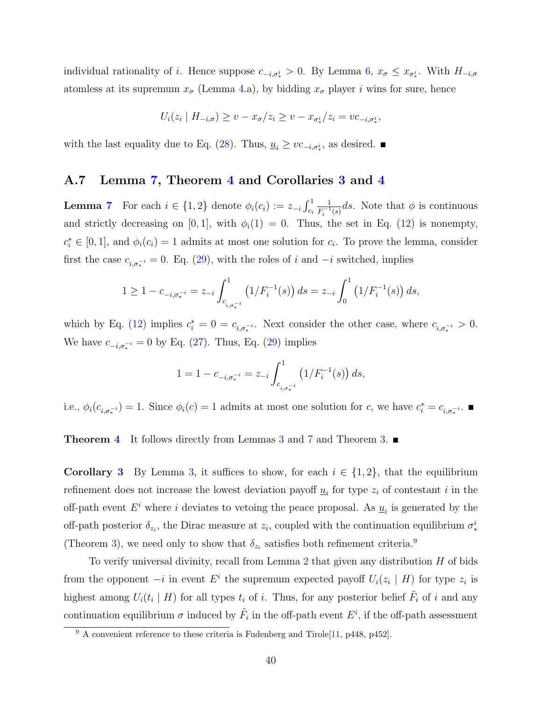individual rationality of *i*. Hence suppose  $c_{-i,\sigma^i_*} > 0$ . By Lemma [6,](#page-13-1)  $x_{\sigma} \leq x_{\sigma^i_*}$ . With  $H_{-i,\sigma}$ atomless at its supremum  $x_{\sigma}$  (Lemma [4.](#page-9-1)a), by bidding  $x_{\sigma}$  player i wins for sure, hence

$$
U_i(z_i \mid H_{-i,\sigma}) \ge v - x_{\sigma}/z_i \ge v - x_{\sigma_*^i}/z_i = v c_{-i,\sigma_*^i},
$$

with the last equality due to Eq. [\(28\)](#page-34-0). Thus,  $\underline{u}_i \geq v c_{-i,\sigma_i^i}$ , as desired. ■

### A.7 Lemma [7,](#page-14-3) Theorem [4](#page-14-0) and Corollaries [3](#page-14-1) and [4](#page-16-2)

**Lemma [7](#page-14-3)** For each  $i \in \{1, 2\}$  denote  $\phi_i(c_i) := z_{-i} \int_{c_i}^1$ 1  $\frac{1}{F_i^{-1}(s)}$ ds. Note that  $\phi$  is continuous and strictly decreasing on [0, 1], with  $\phi_i(1) = 0$ . Thus, the set in Eq. [\(12\)](#page-14-5) is nonempty,  $c_i^* \in [0,1]$ , and  $\phi_i(c_i) = 1$  admits at most one solution for  $c_i$ . To prove the lemma, consider first the case  $c_{i,\sigma_*^{-i}} = 0$ . Eq. [\(29\)](#page-34-0), with the roles of i and  $-i$  switched, implies

$$
1 \ge 1 - c_{-i, \sigma_*^{-i}} = z_{-i} \int_{c_{i, \sigma_*^{-i}}}^{1} (1/F_i^{-1}(s)) ds = z_{-i} \int_0^1 (1/F_i^{-1}(s)) ds,
$$

which by Eq. [\(12\)](#page-14-5) implies  $c_i^* = 0 = c_{i, \sigma_i^{-i}}$ . Next consider the other case, where  $c_{i, \sigma_i^{-i}} > 0$ . We have  $c_{-i,\sigma_*^{-i}} = 0$  by Eq. [\(27\)](#page-34-0). Thus, Eq. [\(29\)](#page-34-0) implies

$$
1 = 1 - c_{-i, \sigma_*^{-i}} = z_{-i} \int_{c_{i, \sigma_*^{-i}}}^{1} (1/F_i^{-1}(s)) ds,
$$

i.e.,  $\phi_i(c_{i,\sigma_*^{-i}}) = 1$ . Since  $\phi_i(c) = 1$  admits at most one solution for c, we have  $c_i^* = c_{i,\sigma_*^{-i}}$ .

**Theorem [4](#page-14-0)** It follows directly from Lemmas [3](#page-8-0) and [7](#page-14-3) and Theorem [3.](#page-12-0) ■

**Corollary [3](#page-14-1)** By Lemma [3,](#page-8-0) it suffices to show, for each  $i \in \{1,2\}$ , that the equilibrium refinement does not increase the lowest deviation payoff  $\underline{u}_i$  for type  $z_i$  of contestant i in the off-path event  $E^i$  where i deviates to vetoing the peace proposal. As  $\underline{u}_i$  is generated by the off-path posterior  $\delta_{z_i}$ , the Dirac measure at  $z_i$ , coupled with the continuation equilibrium  $\sigma_*^i$ (Theorem [3\)](#page-12-0), we need only to show that  $\delta_{z_i}$  satisfies both refinement criteria.<sup>[9](#page-39-0)</sup>

To verify universal divinity, recall from Lemma [2](#page-8-4) that given any distribution  $H$  of bids from the opponent  $-i$  in event  $E^i$  the supremum expected payoff  $U_i(z_i \mid H)$  for type  $z_i$  is highest among  $U_i(t_i | H)$  for all types  $t_i$  of i. Thus, for any posterior belief  $\tilde{F}_i$  of i and any continuation equilibrium  $\sigma$  induced by  $\tilde{F}_i$  in the off-path event  $E^i$ , if the off-path assessment

<span id="page-39-0"></span> $9 \text{ A convenient reference to these criteria is Fudenberg and Tirole}$  [\[11,](#page-42-10) p448, p452].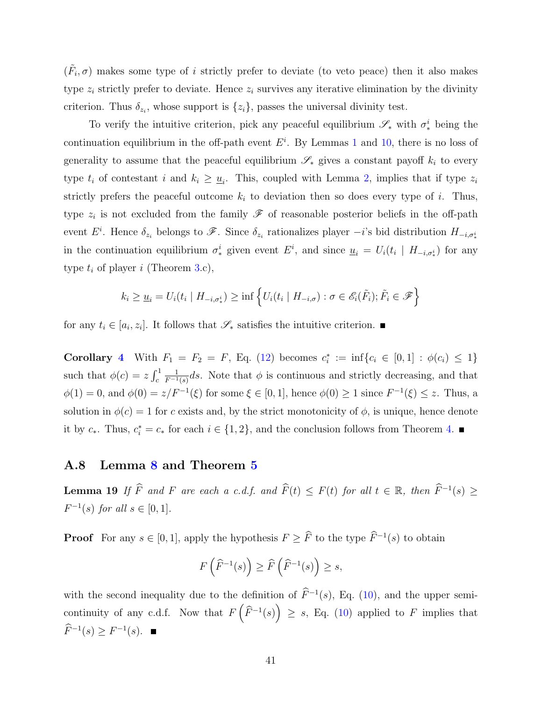$(\tilde{F}_i, \sigma)$  makes some type of i strictly prefer to deviate (to veto peace) then it also makes type  $z_i$  strictly prefer to deviate. Hence  $z_i$  survives any iterative elimination by the divinity criterion. Thus  $\delta_{z_i}$ , whose support is  $\{z_i\}$ , passes the universal divinity test.

To verify the intuitive criterion, pick any peaceful equilibrium  $\mathscr{S}_*$  with  $\sigma_*^i$  being the continuation equilibrium in the off-path event  $E^i$ . By Lemmas [1](#page-6-1) and [10,](#page-25-0) there is no loss of generality to assume that the peaceful equilibrium  $\mathscr{S}_*$  gives a constant payoff  $k_i$  to every type  $t_i$  of contestant i and  $k_i \geq \underline{u}_i$ . This, coupled with Lemma [2,](#page-8-4) implies that if type  $z_i$ strictly prefers the peaceful outcome  $k_i$  to deviation then so does every type of i. Thus, type  $z_i$  is not excluded from the family  $\mathscr F$  of reasonable posterior beliefs in the off-path event  $E^i$ . Hence  $\delta_{z_i}$  belongs to  $\mathscr{F}$ . Since  $\delta_{z_i}$  rationalizes player  $-i$ 's bid distribution  $H_{-i,\sigma^i_*}$ in the continuation equilibrium  $\sigma_*^i$  given event  $E^i$ , and since  $\underline{u}_i = U_i(t_i \mid H_{-i,\sigma_*^i})$  for any type  $t_i$  of player i (Theorem [3.](#page-12-0)c),

$$
k_i \ge \underline{u}_i = U_i(t_i \mid H_{-i, \sigma_*^i}) \ge \inf \left\{ U_i(t_i \mid H_{-i, \sigma}) : \sigma \in \mathscr{E}_i(\tilde{F}_i); \tilde{F}_i \in \mathscr{F} \right\}
$$

for any  $t_i \in [a_i, z_i]$ . It follows that  $\mathscr{S}_*$  satisfies the intuitive criterion.

Corollary [4](#page-16-2) With  $F_1 = F_2 = F$ , Eq. [\(12\)](#page-14-5) becomes  $c_i^* := \inf\{c_i \in [0,1] : \phi(c_i) \leq 1\}$ such that  $\phi(c) = z \int_c^1$ 1  $\frac{1}{F^{-1}(s)}ds$ . Note that  $\phi$  is continuous and strictly decreasing, and that  $\phi(1) = 0$ , and  $\phi(0) = z/F^{-1}(\xi)$  for some  $\xi \in [0,1]$ , hence  $\phi(0) \ge 1$  since  $F^{-1}(\xi) \le z$ . Thus, a solution in  $\phi(c) = 1$  for c exists and, by the strict monotonicity of  $\phi$ , is unique, hence denote it by  $c_*$ . Thus,  $c_i^* = c_*$  for each  $i \in \{1, 2\}$ , and the conclusion follows from Theorem [4.](#page-14-0) ■

### A.8 Lemma [8](#page-17-1) and Theorem [5](#page-17-0)

<span id="page-40-0"></span>**Lemma 19** If  $\widehat{F}$  and F are each a c.d.f. and  $\widehat{F}(t) \leq F(t)$  for all  $t \in \mathbb{R}$ , then  $\widehat{F}^{-1}(s) \geq$  $F^{-1}(s)$  for all  $s \in [0,1]$ .

**Proof** For any  $s \in [0, 1]$ , apply the hypothesis  $F \geq \overline{F}$  to the type  $\overline{F}^{-1}(s)$  to obtain

$$
F\left(\widehat{F}^{-1}(s)\right) \ge \widehat{F}\left(\widehat{F}^{-1}(s)\right) \ge s,
$$

with the second inequality due to the definition of  $\widehat{F}^{-1}(s)$ , Eq. [\(10\)](#page-11-0), and the upper semicontinuity of any c.d.f. Now that  $F\left(\widehat{F}^{-1}(s)\right) \geq s$ , Eq. [\(10\)](#page-11-0) applied to F implies that  $\widehat{F}^{-1}(s) \geq F^{-1}(s).$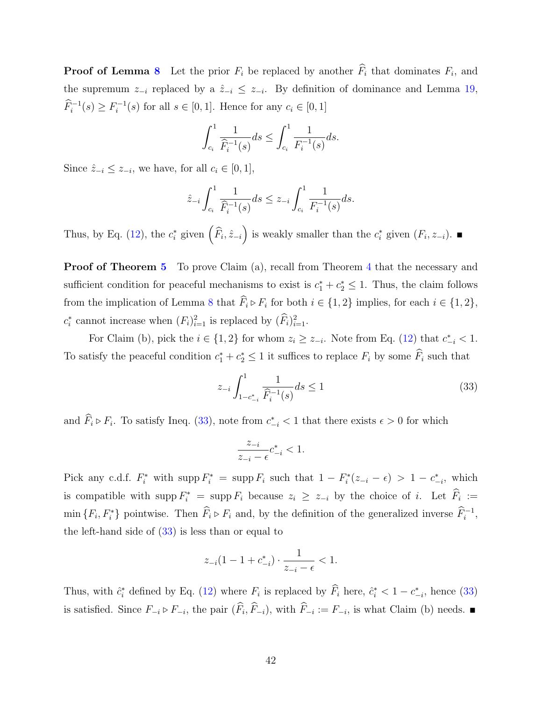**Proof of Lemma [8](#page-17-1)** Let the prior  $F_i$  be replaced by another  $F_i$  that dominates  $F_i$ , and the supremum  $z_{-i}$  replaced by a  $\hat{z}_{-i} \leq z_{-i}$ . By definition of dominance and Lemma [19,](#page-40-0)  $\widehat{F}_i^{-1}(s) \geq F_i^{-1}$  $i_i^{-1}(s)$  for all  $s \in [0, 1]$ . Hence for any  $c_i \in [0, 1]$ 

$$
\int_{c_i}^{1} \frac{1}{\widehat{F}_i^{-1}(s)} ds \le \int_{c_i}^{1} \frac{1}{F_i^{-1}(s)} ds.
$$

Since  $\hat{z}_{-i} \leq z_{-i}$ , we have, for all  $c_i \in [0, 1]$ ,

$$
\hat{z}_{-i} \int_{c_i}^1 \frac{1}{\hat{F}_i^{-1}(s)} ds \le z_{-i} \int_{c_i}^1 \frac{1}{F_i^{-1}(s)} ds.
$$

Thus, by Eq. [\(12\)](#page-14-5), the  $c_i^*$  given  $(\widehat{F}_i, \hat{z}_{-i})$  is weakly smaller than the  $c_i^*$  given  $(F_i, z_{-i})$ .

**Proof of Theorem [5](#page-17-0)** To prove Claim (a), recall from Theorem [4](#page-14-0) that the necessary and sufficient condition for peaceful mechanisms to exist is  $c_1^* + c_2^* \leq 1$ . Thus, the claim follows from the implication of Lemma [8](#page-17-1) that  $F_i \triangleright F_i$  for both  $i \in \{1, 2\}$  implies, for each  $i \in \{1, 2\}$ ,  $c_i^*$  cannot increase when  $(F_i)_{i=1}^2$  is replaced by  $(\widehat{F}_i)_{i=1}^2$ .

For Claim (b), pick the  $i \in \{1,2\}$  for whom  $z_i \geq z_{-i}$ . Note from Eq. [\(12\)](#page-14-5) that  $c_{-i}^* < 1$ . To satisfy the peaceful condition  $c_1^* + c_2^* \leq 1$  it suffices to replace  $F_i$  by some  $\widehat{F}_i$  such that

<span id="page-41-0"></span>
$$
z_{-i} \int_{1-c_{-i}^*}^1 \frac{1}{\widehat{F}_i^{-1}(s)} ds \le 1
$$
\n(33)

and  $\hat{F}_i \triangleright F_i$ . To satisfy Ineq. [\(33\)](#page-41-0), note from  $c_{-i}^* < 1$  that there exists  $\epsilon > 0$  for which

$$
\frac{z_{-i}}{z_{-i} - \epsilon} c_{-i}^* < 1.
$$

Pick any c.d.f.  $F_i^*$  with supp  $F_i^* = \text{supp } F_i$  such that  $1 - F_i^*(z_{-i} - \epsilon) > 1 - c_{-i}^*$ , which is compatible with supp  $F_i^* = \text{supp } F_i$  because  $z_i \geq z_{-i}$  by the choice of i. Let  $\hat{F}_i :=$  $\min \{F_i, F_i^*\}$  pointwise. Then  $\widehat{F}_i \triangleright F_i$  and, by the definition of the generalized inverse  $\widehat{F}_i^{-1}$ , the left-hand side of  $(33)$  is less than or equal to

$$
z_{-i}(1-1+c_{-i}^*)\cdot \frac{1}{z_{-i}-\epsilon} < 1.
$$

Thus, with  $\hat{c}_i^*$  defined by Eq. [\(12\)](#page-14-5) where  $F_i$  is replaced by  $\hat{F}_i$  here,  $\hat{c}_i^* < 1 - c_{-i}^*$ , hence [\(33\)](#page-41-0) is satisfied. Since  $F_{-i} \triangleright F_{-i}$ , the pair  $(F_i, F_{-i})$ , with  $F_{-i} := F_{-i}$ , is what Claim (b) needs. ■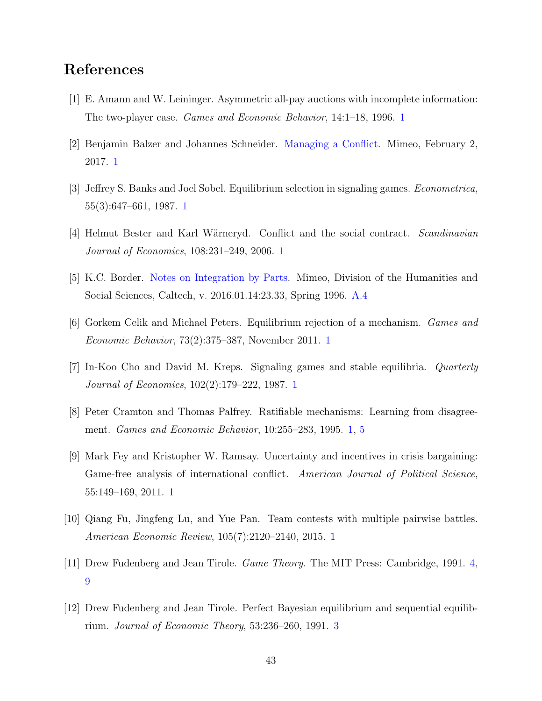## References

- <span id="page-42-3"></span>[1] E. Amann and W. Leininger. Asymmetric all-pay auctions with incomplete information: The two-player case. Games and Economic Behavior, 14:1–18, 1996. [1](#page-1-0)
- <span id="page-42-8"></span>[2] Benjamin Balzer and Johannes Schneider. [Managing a Conflict.](https://josndr.github.io/MaC.pdf) Mimeo, February 2, 2017. [1](#page-1-0)
- <span id="page-42-6"></span>[3] Jeffrey S. Banks and Joel Sobel. Equilibrium selection in signaling games. Econometrica, 55(3):647–661, 1987. [1](#page-1-0)
- <span id="page-42-0"></span>[4] Helmut Bester and Karl Wärneryd. Conflict and the social contract. Scandinavian Journal of Economics, 108:231–249, 2006. [1](#page-1-0)
- <span id="page-42-11"></span>[5] K.C. Border. [Notes on Integration by Parts.](http://people.hss.caltech.edu/~kcb/Notes/IntegrationbyParts.pdf) Mimeo, Division of the Humanities and Social Sciences, Caltech, v. 2016.01.14:23.33, Spring 1996. [A.4](#page-27-1)
- <span id="page-42-2"></span>[6] Gorkem Celik and Michael Peters. Equilibrium rejection of a mechanism. Games and Economic Behavior, 73(2):375–387, November 2011. [1](#page-1-0)
- <span id="page-42-5"></span>[7] In-Koo Cho and David M. Kreps. Signaling games and stable equilibria. Quarterly Journal of Economics, 102(2):179–222, 1987. [1](#page-1-0)
- <span id="page-42-7"></span>[8] Peter Cramton and Thomas Palfrey. Ratifiable mechanisms: Learning from disagreement. Games and Economic Behavior, 10:255–283, 1995. [1,](#page-1-0) [5](#page-14-2)
- <span id="page-42-1"></span>[9] Mark Fey and Kristopher W. Ramsay. Uncertainty and incentives in crisis bargaining: Game-free analysis of international conflict. American Journal of Political Science, 55:149–169, 2011. [1](#page-1-0)
- <span id="page-42-4"></span>[10] Qiang Fu, Jingfeng Lu, and Yue Pan. Team contests with multiple pairwise battles. American Economic Review, 105(7):2120–2140, 2015. [1](#page-2-0)
- <span id="page-42-10"></span>[11] Drew Fudenberg and Jean Tirole. Game Theory. The MIT Press: Cambridge, 1991. [4,](#page-11-1) [9](#page-39-0)
- <span id="page-42-9"></span>[12] Drew Fudenberg and Jean Tirole. Perfect Bayesian equilibrium and sequential equilibrium. Journal of Economic Theory, 53:236–260, 1991. [3](#page-5-0)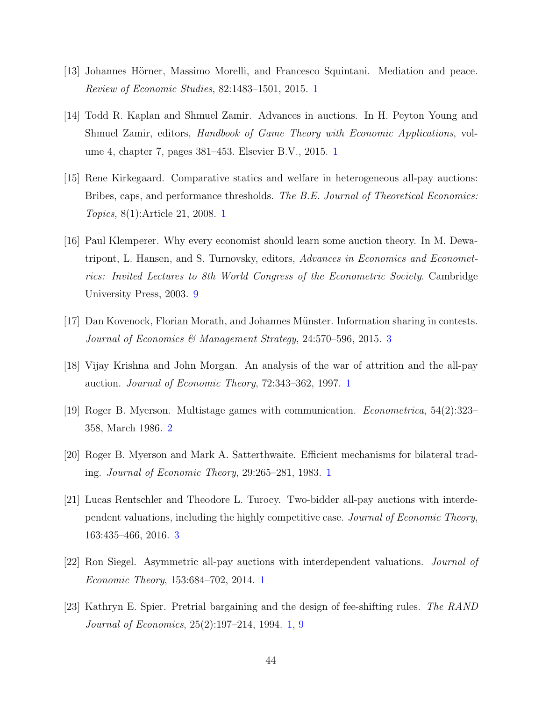- <span id="page-43-1"></span>[13] Johannes Hörner, Massimo Morelli, and Francesco Squintani. Mediation and peace. Review of Economic Studies, 82:1483–1501, 2015. [1](#page-1-0)
- <span id="page-43-6"></span>[14] Todd R. Kaplan and Shmuel Zamir. Advances in auctions. In H. Peyton Young and Shmuel Zamir, editors, Handbook of Game Theory with Economic Applications, volume 4, chapter 7, pages 381–453. Elsevier B.V., 2015. [1](#page-2-0)
- <span id="page-43-3"></span>[15] Rene Kirkegaard. Comparative statics and welfare in heterogeneous all-pay auctions: Bribes, caps, and performance thresholds. The B.E. Journal of Theoretical Economics: Topics, 8(1):Article 21, 2008. [1](#page-1-0)
- <span id="page-43-10"></span>[16] Paul Klemperer. Why every economist should learn some auction theory. In M. Dewatripont, L. Hansen, and S. Turnovsky, editors, Advances in Economics and Econometrics: Invited Lectures to 8th World Congress of the Econometric Society. Cambridge University Press, 2003. [9](#page-19-0)
- <span id="page-43-9"></span>[17] Dan Kovenock, Florian Morath, and Johannes M¨unster. Information sharing in contests. Journal of Economics & Management Strategy, 24:570–596, 2015. [3](#page-12-1)
- <span id="page-43-4"></span>[18] Vijay Krishna and John Morgan. An analysis of the war of attrition and the all-pay auction. Journal of Economic Theory, 72:343–362, 1997. [1](#page-1-0)
- <span id="page-43-7"></span>[19] Roger B. Myerson. Multistage games with communication. Econometrica, 54(2):323– 358, March 1986. [2](#page-4-1)
- <span id="page-43-0"></span>[20] Roger B. Myerson and Mark A. Satterthwaite. Efficient mechanisms for bilateral trading. Journal of Economic Theory, 29:265–281, 1983. [1](#page-1-0)
- <span id="page-43-8"></span>[21] Lucas Rentschler and Theodore L. Turocy. Two-bidder all-pay auctions with interdependent valuations, including the highly competitive case. Journal of Economic Theory, 163:435–466, 2016. [3](#page-5-0)
- <span id="page-43-5"></span>[22] Ron Siegel. Asymmetric all-pay auctions with interdependent valuations. Journal of Economic Theory, 153:684–702, 2014. [1](#page-1-0)
- <span id="page-43-2"></span>[23] Kathryn E. Spier. Pretrial bargaining and the design of fee-shifting rules. The RAND Journal of Economics, 25(2):197–214, 1994. [1,](#page-1-0) [9](#page-19-0)